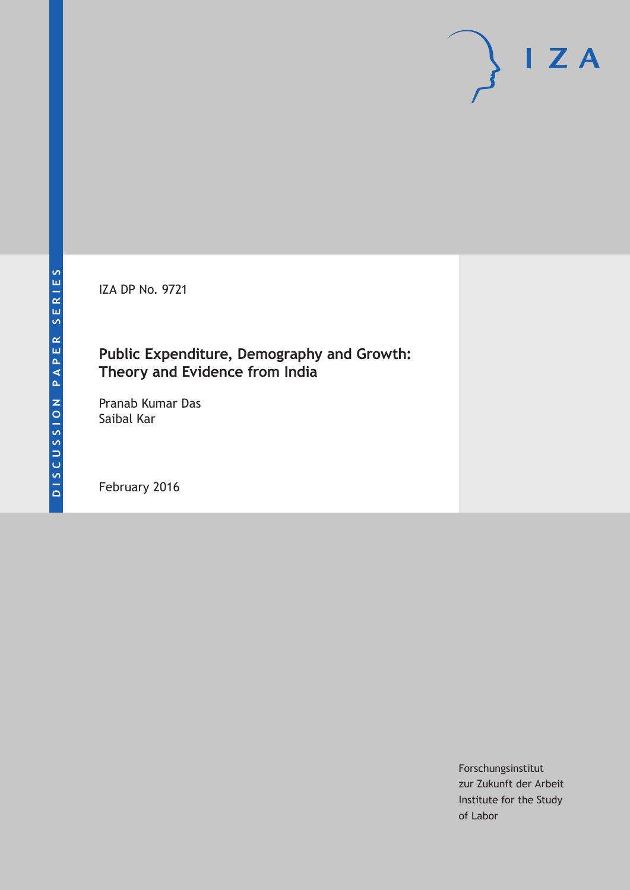IZA DP No. 9721

## **Public Expenditure, Demography and Growth: Theory and Evidence from India**

Pranab Kumar Das Saibal Kar

February 2016

Forschungsinstitut zur Zukunft der Arbeit Institute for the Study of Labor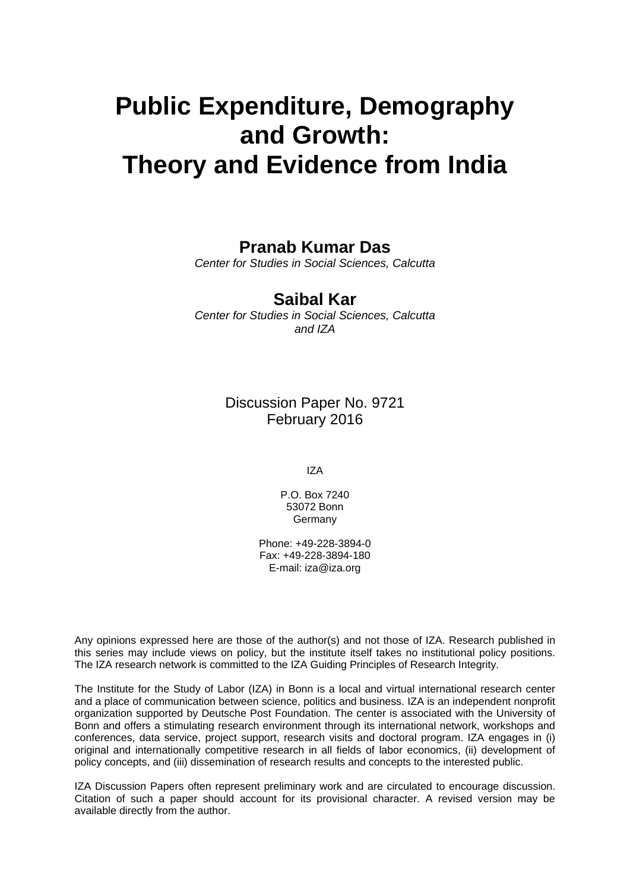# **Public Expenditure, Demography and Growth: Theory and Evidence from India**

## **Pranab Kumar Das**

*Center for Studies in Social Sciences, Calcutta* 

### **Saibal Kar**

*Center for Studies in Social Sciences, Calcutta and IZA* 

> Discussion Paper No. 9721 February 2016

> > IZA

P.O. Box 7240 53072 Bonn **Germany** 

Phone: +49-228-3894-0 Fax: +49-228-3894-180 E-mail: iza@iza.org

Any opinions expressed here are those of the author(s) and not those of IZA. Research published in this series may include views on policy, but the institute itself takes no institutional policy positions. The IZA research network is committed to the IZA Guiding Principles of Research Integrity.

The Institute for the Study of Labor (IZA) in Bonn is a local and virtual international research center and a place of communication between science, politics and business. IZA is an independent nonprofit organization supported by Deutsche Post Foundation. The center is associated with the University of Bonn and offers a stimulating research environment through its international network, workshops and conferences, data service, project support, research visits and doctoral program. IZA engages in (i) original and internationally competitive research in all fields of labor economics, (ii) development of policy concepts, and (iii) dissemination of research results and concepts to the interested public.

IZA Discussion Papers often represent preliminary work and are circulated to encourage discussion. Citation of such a paper should account for its provisional character. A revised version may be available directly from the author.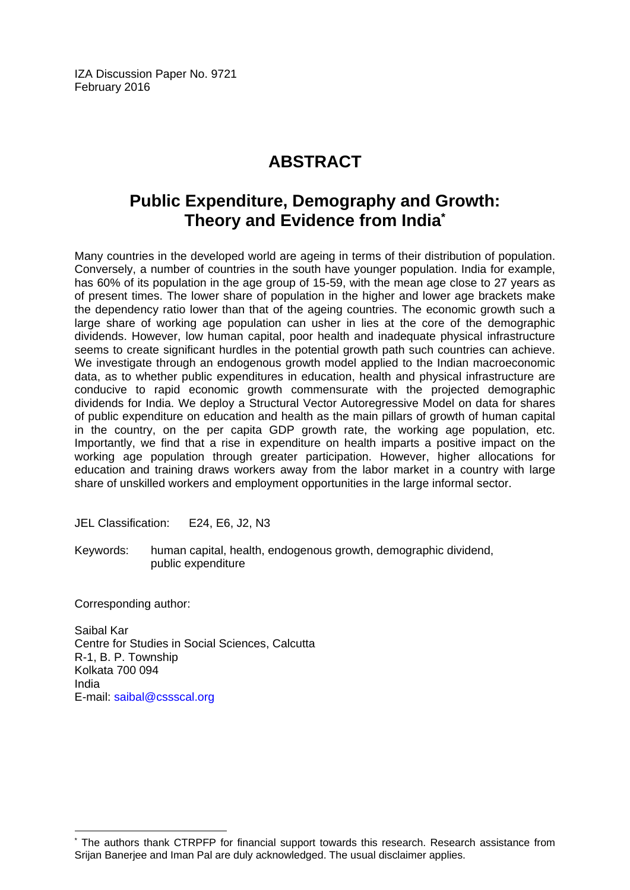IZA Discussion Paper No. 9721 February 2016

# **ABSTRACT**

# **Public Expenditure, Demography and Growth: Theory and Evidence from India\***

Many countries in the developed world are ageing in terms of their distribution of population. Conversely, a number of countries in the south have younger population. India for example, has 60% of its population in the age group of 15-59, with the mean age close to 27 years as of present times. The lower share of population in the higher and lower age brackets make the dependency ratio lower than that of the ageing countries. The economic growth such a large share of working age population can usher in lies at the core of the demographic dividends. However, low human capital, poor health and inadequate physical infrastructure seems to create significant hurdles in the potential growth path such countries can achieve. We investigate through an endogenous growth model applied to the Indian macroeconomic data, as to whether public expenditures in education, health and physical infrastructure are conducive to rapid economic growth commensurate with the projected demographic dividends for India. We deploy a Structural Vector Autoregressive Model on data for shares of public expenditure on education and health as the main pillars of growth of human capital in the country, on the per capita GDP growth rate, the working age population, etc. Importantly, we find that a rise in expenditure on health imparts a positive impact on the working age population through greater participation. However, higher allocations for education and training draws workers away from the labor market in a country with large share of unskilled workers and employment opportunities in the large informal sector.

JEL Classification: E24, E6, J2, N3

Keywords: human capital, health, endogenous growth, demographic dividend, public expenditure

Corresponding author:

 $\overline{a}$ 

Saibal Kar Centre for Studies in Social Sciences, Calcutta R-1, B. P. Township Kolkata 700 094 India E-mail: saibal@cssscal.org

<sup>\*</sup> The authors thank CTRPFP for financial support towards this research. Research assistance from Srijan Banerjee and Iman Pal are duly acknowledged. The usual disclaimer applies.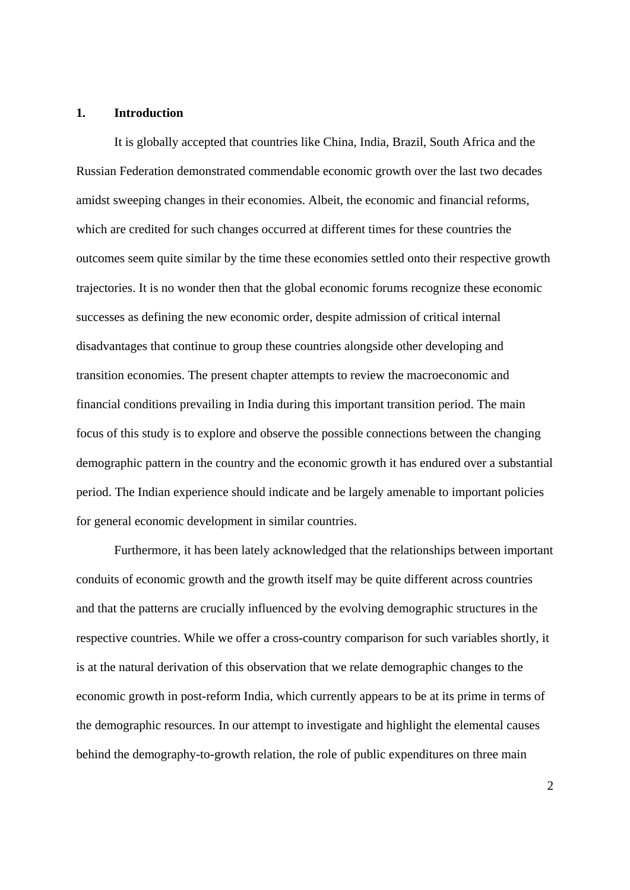#### **1. Introduction**

 It is globally accepted that countries like China, India, Brazil, South Africa and the Russian Federation demonstrated commendable economic growth over the last two decades amidst sweeping changes in their economies. Albeit, the economic and financial reforms, which are credited for such changes occurred at different times for these countries the outcomes seem quite similar by the time these economies settled onto their respective growth trajectories. It is no wonder then that the global economic forums recognize these economic successes as defining the new economic order, despite admission of critical internal disadvantages that continue to group these countries alongside other developing and transition economies. The present chapter attempts to review the macroeconomic and financial conditions prevailing in India during this important transition period. The main focus of this study is to explore and observe the possible connections between the changing demographic pattern in the country and the economic growth it has endured over a substantial period. The Indian experience should indicate and be largely amenable to important policies for general economic development in similar countries.

Furthermore, it has been lately acknowledged that the relationships between important conduits of economic growth and the growth itself may be quite different across countries and that the patterns are crucially influenced by the evolving demographic structures in the respective countries. While we offer a cross-country comparison for such variables shortly, it is at the natural derivation of this observation that we relate demographic changes to the economic growth in post-reform India, which currently appears to be at its prime in terms of the demographic resources. In our attempt to investigate and highlight the elemental causes behind the demography-to-growth relation, the role of public expenditures on three main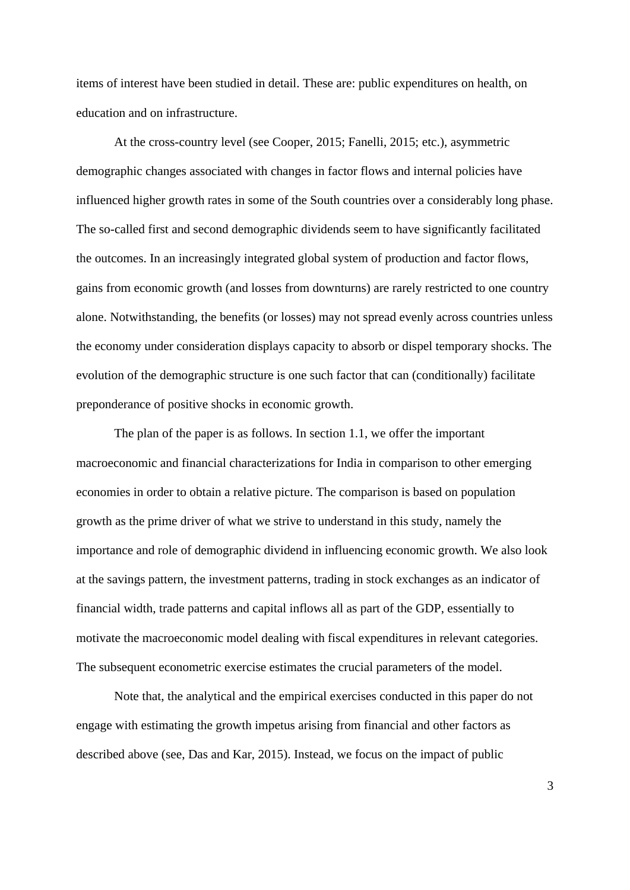items of interest have been studied in detail. These are: public expenditures on health, on education and on infrastructure.

At the cross-country level (see Cooper, 2015; Fanelli, 2015; etc.), asymmetric demographic changes associated with changes in factor flows and internal policies have influenced higher growth rates in some of the South countries over a considerably long phase. The so-called first and second demographic dividends seem to have significantly facilitated the outcomes. In an increasingly integrated global system of production and factor flows, gains from economic growth (and losses from downturns) are rarely restricted to one country alone. Notwithstanding, the benefits (or losses) may not spread evenly across countries unless the economy under consideration displays capacity to absorb or dispel temporary shocks. The evolution of the demographic structure is one such factor that can (conditionally) facilitate preponderance of positive shocks in economic growth.

 The plan of the paper is as follows. In section 1.1, we offer the important macroeconomic and financial characterizations for India in comparison to other emerging economies in order to obtain a relative picture. The comparison is based on population growth as the prime driver of what we strive to understand in this study, namely the importance and role of demographic dividend in influencing economic growth. We also look at the savings pattern, the investment patterns, trading in stock exchanges as an indicator of financial width, trade patterns and capital inflows all as part of the GDP, essentially to motivate the macroeconomic model dealing with fiscal expenditures in relevant categories. The subsequent econometric exercise estimates the crucial parameters of the model.

 Note that, the analytical and the empirical exercises conducted in this paper do not engage with estimating the growth impetus arising from financial and other factors as described above (see, Das and Kar, 2015). Instead, we focus on the impact of public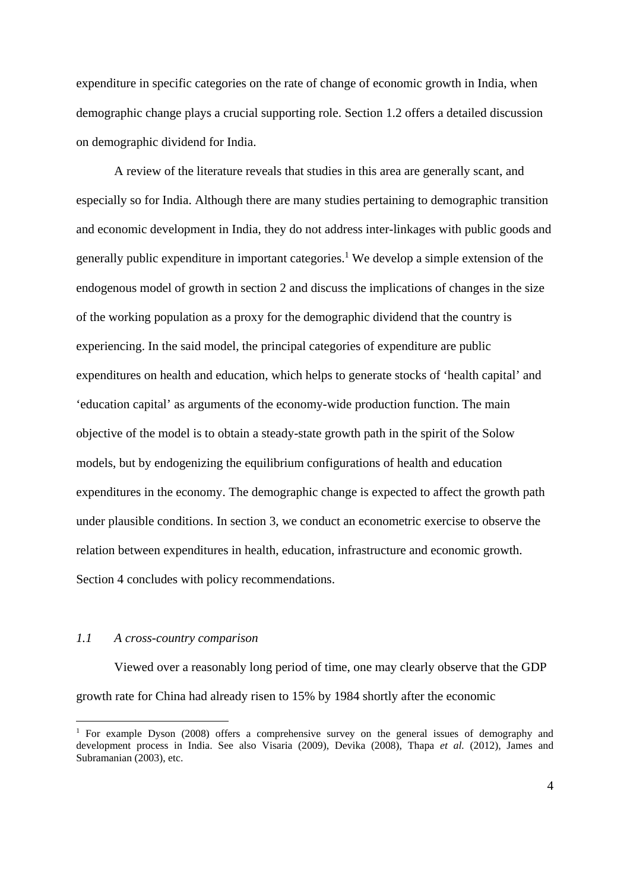expenditure in specific categories on the rate of change of economic growth in India, when demographic change plays a crucial supporting role. Section 1.2 offers a detailed discussion on demographic dividend for India.

A review of the literature reveals that studies in this area are generally scant, and especially so for India. Although there are many studies pertaining to demographic transition and economic development in India, they do not address inter-linkages with public goods and generally public expenditure in important categories.<sup>1</sup> We develop a simple extension of the endogenous model of growth in section 2 and discuss the implications of changes in the size of the working population as a proxy for the demographic dividend that the country is experiencing. In the said model, the principal categories of expenditure are public expenditures on health and education, which helps to generate stocks of 'health capital' and 'education capital' as arguments of the economy-wide production function. The main objective of the model is to obtain a steady-state growth path in the spirit of the Solow models, but by endogenizing the equilibrium configurations of health and education expenditures in the economy. The demographic change is expected to affect the growth path under plausible conditions. In section 3, we conduct an econometric exercise to observe the relation between expenditures in health, education, infrastructure and economic growth. Section 4 concludes with policy recommendations.

#### *1.1 A cross-country comparison*

<u>.</u>

Viewed over a reasonably long period of time, one may clearly observe that the GDP growth rate for China had already risen to 15% by 1984 shortly after the economic

<sup>&</sup>lt;sup>1</sup> For example Dyson (2008) offers a comprehensive survey on the general issues of demography and development process in India. See also Visaria (2009), Devika (2008), Thapa *et al.* (2012), James and Subramanian (2003), etc.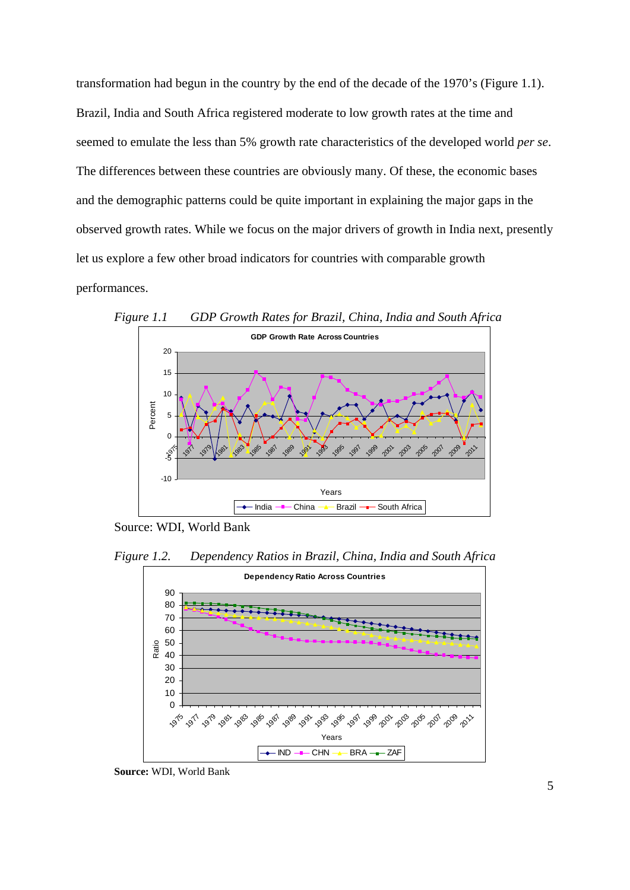transformation had begun in the country by the end of the decade of the 1970's (Figure 1.1). Brazil, India and South Africa registered moderate to low growth rates at the time and seemed to emulate the less than 5% growth rate characteristics of the developed world *per se*. The differences between these countries are obviously many. Of these, the economic bases and the demographic patterns could be quite important in explaining the major gaps in the observed growth rates. While we focus on the major drivers of growth in India next, presently let us explore a few other broad indicators for countries with comparable growth performances.



*Figure 1.1 GDP Growth Rates for Brazil, China, India and South Africa* 

Source: WDI, World Bank

*Figure 1.2. Dependency Ratios in Brazil, China, India and South Africa* 



**Source:** WDI, World Bank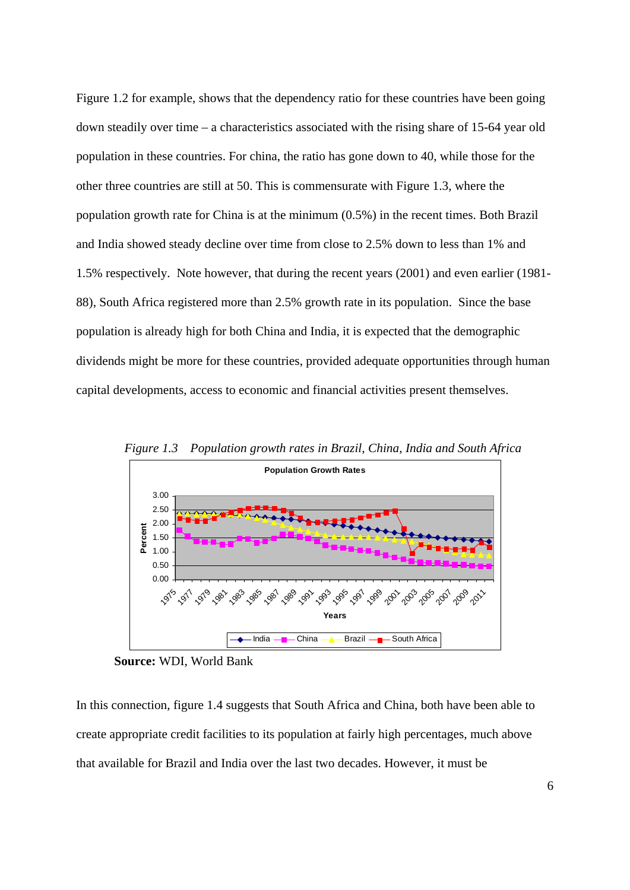Figure 1.2 for example, shows that the dependency ratio for these countries have been going down steadily over time – a characteristics associated with the rising share of 15-64 year old population in these countries. For china, the ratio has gone down to 40, while those for the other three countries are still at 50. This is commensurate with Figure 1.3, where the population growth rate for China is at the minimum (0.5%) in the recent times. Both Brazil and India showed steady decline over time from close to 2.5% down to less than 1% and 1.5% respectively. Note however, that during the recent years (2001) and even earlier (1981- 88), South Africa registered more than 2.5% growth rate in its population. Since the base population is already high for both China and India, it is expected that the demographic dividends might be more for these countries, provided adequate opportunities through human capital developments, access to economic and financial activities present themselves.





**Source:** WDI, World Bank

In this connection, figure 1.4 suggests that South Africa and China, both have been able to create appropriate credit facilities to its population at fairly high percentages, much above that available for Brazil and India over the last two decades. However, it must be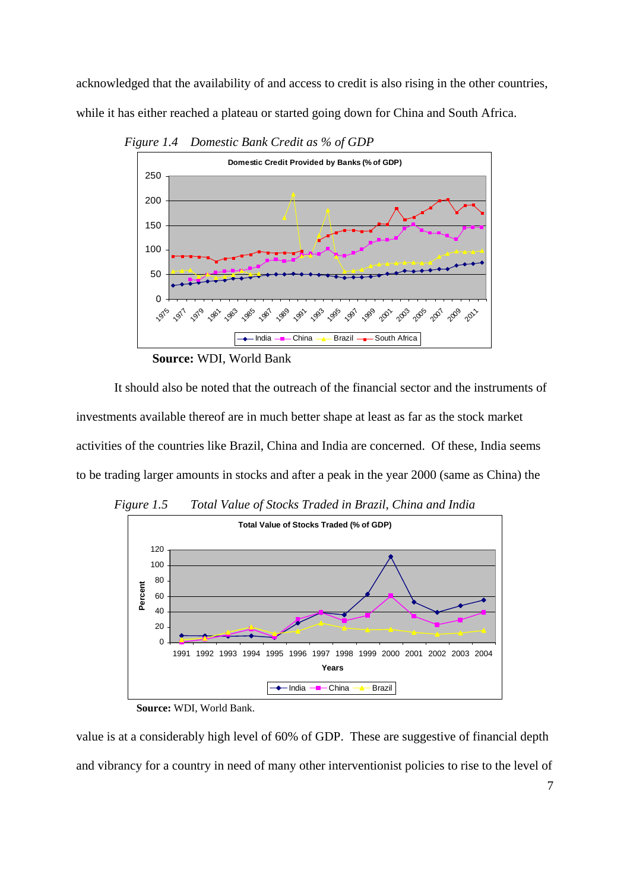acknowledged that the availability of and access to credit is also rising in the other countries, while it has either reached a plateau or started going down for China and South Africa.



 *Figure 1.4 Domestic Bank Credit as % of GDP* 

**Source:** WDI, World Bank

 It should also be noted that the outreach of the financial sector and the instruments of investments available thereof are in much better shape at least as far as the stock market activities of the countries like Brazil, China and India are concerned. Of these, India seems to be trading larger amounts in stocks and after a peak in the year 2000 (same as China) the



*Figure 1.5 Total Value of Stocks Traded in Brazil, China and India* 

value is at a considerably high level of 60% of GDP. These are suggestive of financial depth and vibrancy for a country in need of many other interventionist policies to rise to the level of

**Source:** WDI, World Bank.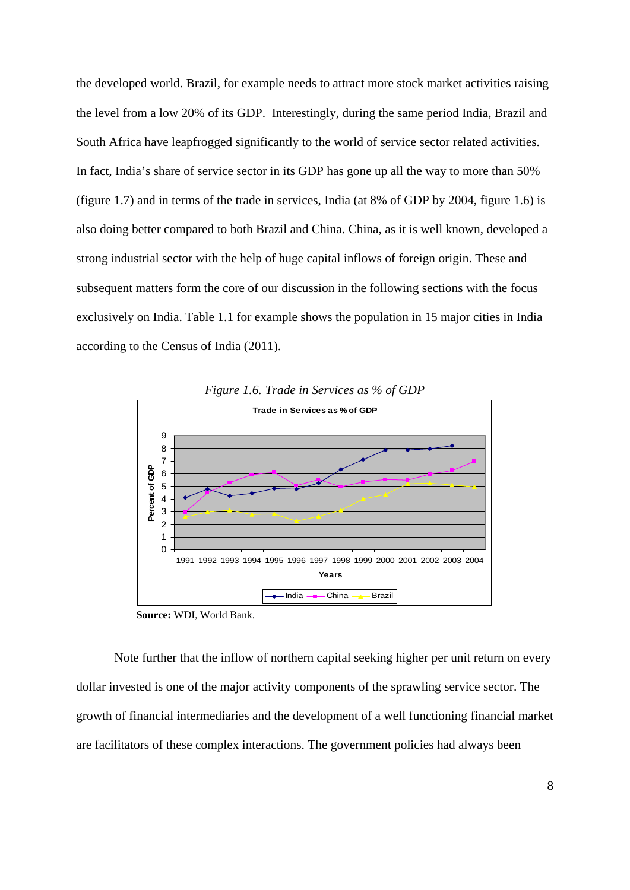the developed world. Brazil, for example needs to attract more stock market activities raising the level from a low 20% of its GDP. Interestingly, during the same period India, Brazil and South Africa have leapfrogged significantly to the world of service sector related activities. In fact, India's share of service sector in its GDP has gone up all the way to more than 50% (figure 1.7) and in terms of the trade in services, India (at 8% of GDP by 2004, figure 1.6) is also doing better compared to both Brazil and China. China, as it is well known, developed a strong industrial sector with the help of huge capital inflows of foreign origin. These and subsequent matters form the core of our discussion in the following sections with the focus exclusively on India. Table 1.1 for example shows the population in 15 major cities in India according to the Census of India (2011).



*Figure 1.6. Trade in Services as % of GDP* 

**Source:** WDI, World Bank.

Note further that the inflow of northern capital seeking higher per unit return on every dollar invested is one of the major activity components of the sprawling service sector. The growth of financial intermediaries and the development of a well functioning financial market are facilitators of these complex interactions. The government policies had always been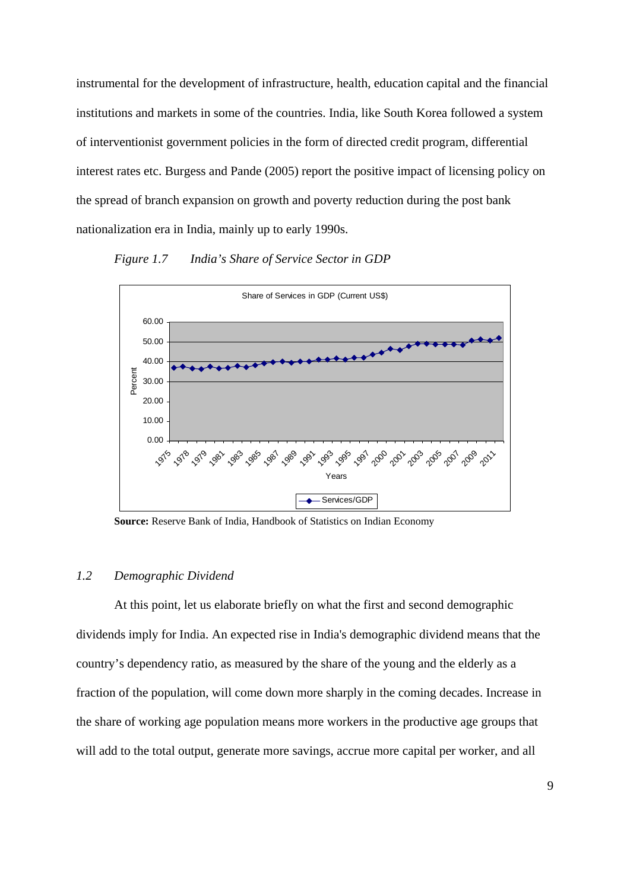instrumental for the development of infrastructure, health, education capital and the financial institutions and markets in some of the countries. India, like South Korea followed a system of interventionist government policies in the form of directed credit program, differential interest rates etc. Burgess and Pande (2005) report the positive impact of licensing policy on the spread of branch expansion on growth and poverty reduction during the post bank nationalization era in India, mainly up to early 1990s.

#### *Figure 1.7 India's Share of Service Sector in GDP*



**Source:** Reserve Bank of India, Handbook of Statistics on Indian Economy

#### *1.2 Demographic Dividend*

At this point, let us elaborate briefly on what the first and second demographic dividends imply for India. An expected rise in India's demographic dividend means that the country's dependency ratio, as measured by the share of the young and the elderly as a fraction of the population, will come down more sharply in the coming decades. Increase in the share of working age population means more workers in the productive age groups that will add to the total output, generate more savings, accrue more capital per worker, and all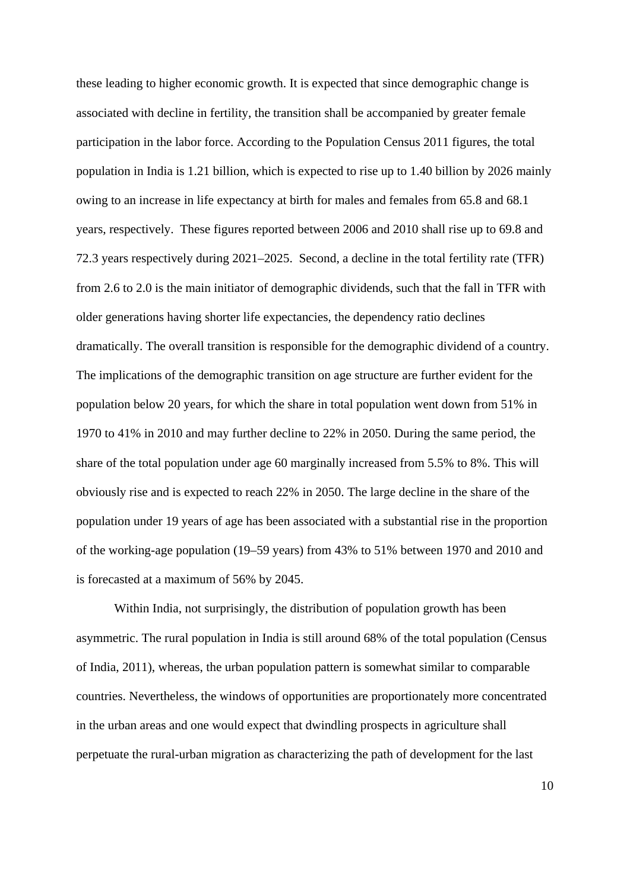these leading to higher economic growth. It is expected that since demographic change is associated with decline in fertility, the transition shall be accompanied by greater female participation in the labor force. According to the Population Census 2011 figures, the total population in India is 1.21 billion, which is expected to rise up to 1.40 billion by 2026 mainly owing to an increase in life expectancy at birth for males and females from 65.8 and 68.1 years, respectively. These figures reported between 2006 and 2010 shall rise up to 69.8 and 72.3 years respectively during 2021–2025. Second, a decline in the total fertility rate (TFR) from 2.6 to 2.0 is the main initiator of demographic dividends, such that the fall in TFR with older generations having shorter life expectancies, the dependency ratio declines dramatically. The overall transition is responsible for the demographic dividend of a country. The implications of the demographic transition on age structure are further evident for the population below 20 years, for which the share in total population went down from 51% in 1970 to 41% in 2010 and may further decline to 22% in 2050. During the same period, the share of the total population under age 60 marginally increased from 5.5% to 8%. This will obviously rise and is expected to reach 22% in 2050. The large decline in the share of the population under 19 years of age has been associated with a substantial rise in the proportion of the working-age population (19–59 years) from 43% to 51% between 1970 and 2010 and is forecasted at a maximum of 56% by 2045.

Within India, not surprisingly, the distribution of population growth has been asymmetric. The rural population in India is still around 68% of the total population (Census of India, 2011), whereas, the urban population pattern is somewhat similar to comparable countries. Nevertheless, the windows of opportunities are proportionately more concentrated in the urban areas and one would expect that dwindling prospects in agriculture shall perpetuate the rural-urban migration as characterizing the path of development for the last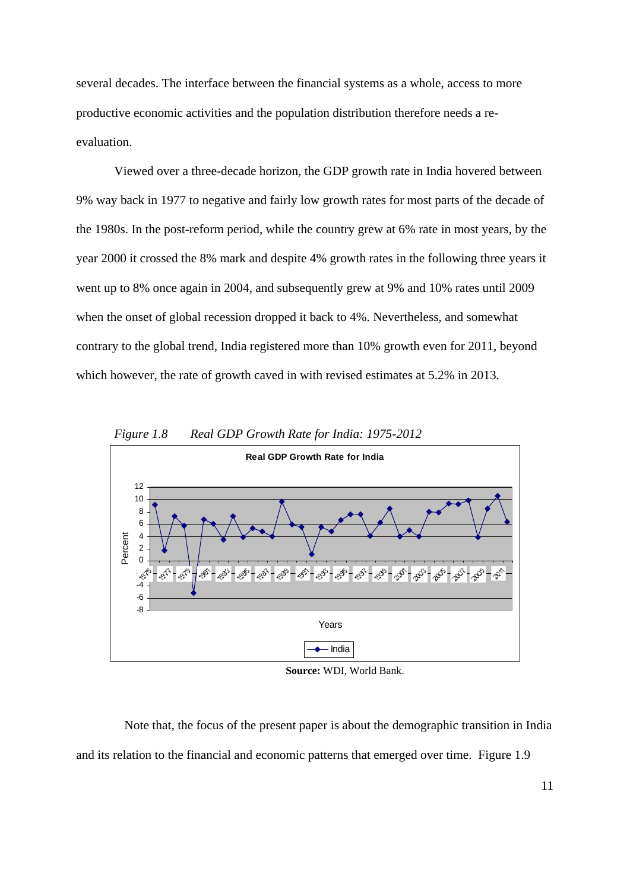several decades. The interface between the financial systems as a whole, access to more productive economic activities and the population distribution therefore needs a reevaluation.

Viewed over a three-decade horizon, the GDP growth rate in India hovered between 9% way back in 1977 to negative and fairly low growth rates for most parts of the decade of the 1980s. In the post-reform period, while the country grew at 6% rate in most years, by the year 2000 it crossed the 8% mark and despite 4% growth rates in the following three years it went up to 8% once again in 2004, and subsequently grew at 9% and 10% rates until 2009 when the onset of global recession dropped it back to 4%. Nevertheless, and somewhat contrary to the global trend, India registered more than 10% growth even for 2011, beyond which however, the rate of growth caved in with revised estimates at 5.2% in 2013.



*Figure 1.8 Real GDP Growth Rate for India: 1975-2012* 

**Source:** WDI, World Bank.

 Note that, the focus of the present paper is about the demographic transition in India and its relation to the financial and economic patterns that emerged over time. Figure 1.9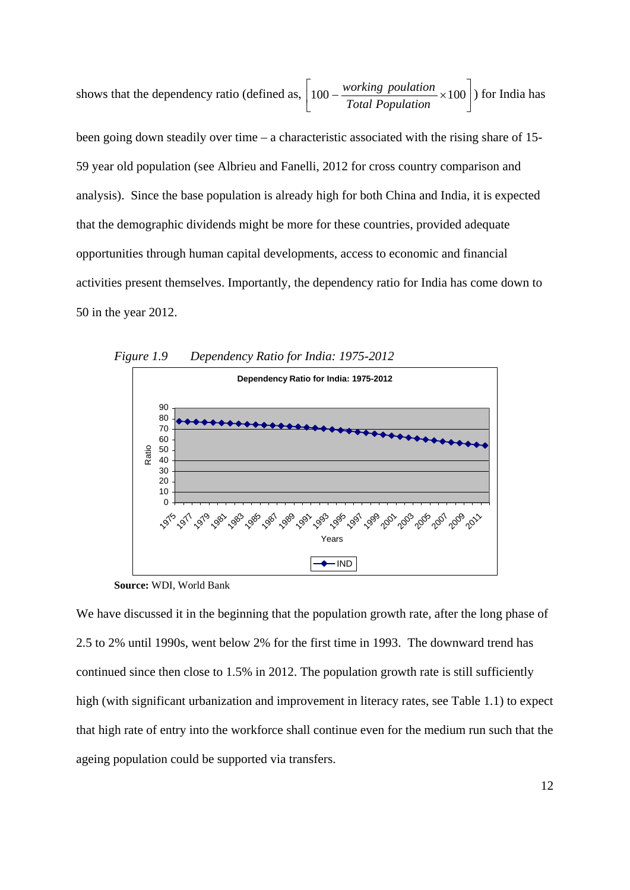shows that the dependency ratio (defined as,  $\left| 100 - \frac{working\;poulution}{Total\;Population} \times 100 \right|$  $\overline{\phantom{a}}$  $\left| 100 - \frac{working\ poulation}{Total\ Poulation} \times 100 \right|$ L  $100 - \frac{working\ poulation}{T} \times 100$ *Total Population working poulation*  $\times 100$ ) for India has

been going down steadily over time – a characteristic associated with the rising share of 15- 59 year old population (see Albrieu and Fanelli, 2012 for cross country comparison and analysis). Since the base population is already high for both China and India, it is expected that the demographic dividends might be more for these countries, provided adequate opportunities through human capital developments, access to economic and financial activities present themselves. Importantly, the dependency ratio for India has come down to 50 in the year 2012.



*Figure 1.9 Dependency Ratio for India: 1975-2012* 

We have discussed it in the beginning that the population growth rate, after the long phase of 2.5 to 2% until 1990s, went below 2% for the first time in 1993. The downward trend has continued since then close to 1.5% in 2012. The population growth rate is still sufficiently high (with significant urbanization and improvement in literacy rates, see Table 1.1) to expect that high rate of entry into the workforce shall continue even for the medium run such that the ageing population could be supported via transfers.

**Source:** WDI, World Bank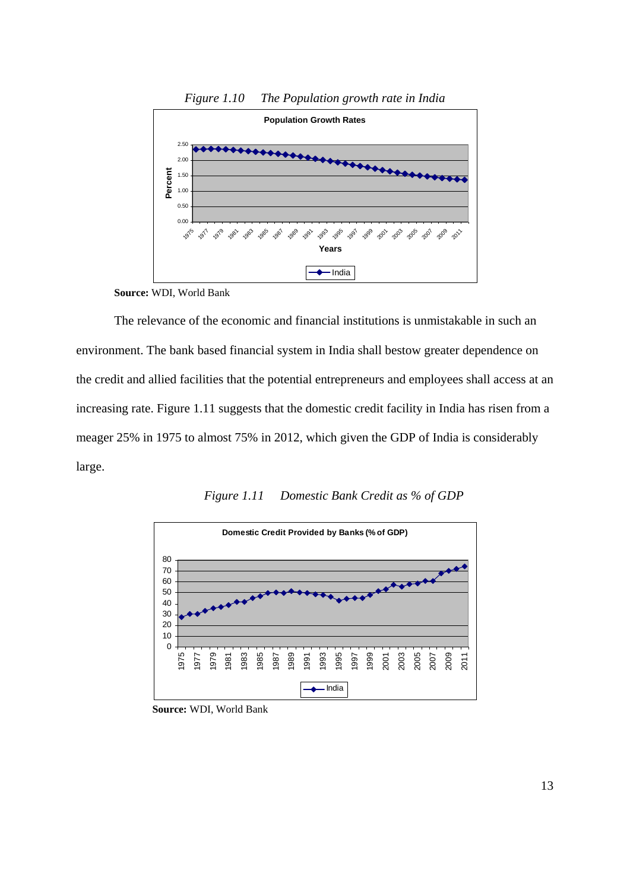

*Figure 1.10 The Population growth rate in India* 

The relevance of the economic and financial institutions is unmistakable in such an environment. The bank based financial system in India shall bestow greater dependence on the credit and allied facilities that the potential entrepreneurs and employees shall access at an increasing rate. Figure 1.11 suggests that the domestic credit facility in India has risen from a meager 25% in 1975 to almost 75% in 2012, which given the GDP of India is considerably large.





**Source:** WDI, World Bank

**Source:** WDI, World Bank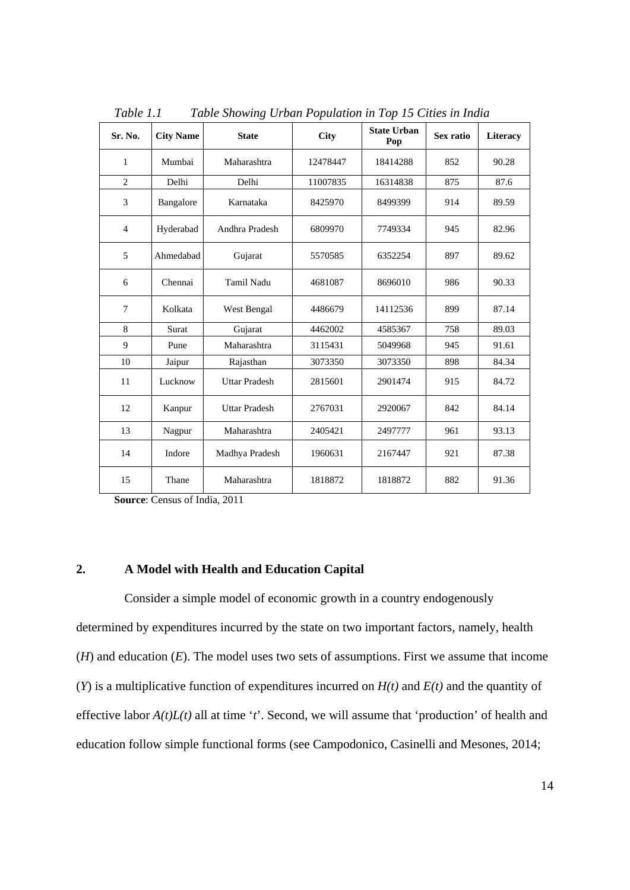| Sr. No.        | <b>City Name</b> | <b>State</b>         | City     | <b>State Urban</b><br>Pop | Sex ratio | Literacy |
|----------------|------------------|----------------------|----------|---------------------------|-----------|----------|
| 1              | Mumbai           | Maharashtra          | 12478447 | 18414288                  | 852       | 90.28    |
| $\overline{2}$ | Delhi            | Delhi                | 11007835 | 16314838                  | 875       | 87.6     |
| 3              | Bangalore        | Karnataka            | 8425970  | 8499399                   | 914       | 89.59    |
| $\overline{4}$ | Hyderabad        | Andhra Pradesh       | 6809970  | 7749334                   | 945       | 82.96    |
| 5              | Ahmedabad        | Gujarat              | 5570585  | 6352254                   | 897       | 89.62    |
| 6              | Chennai          | Tamil Nadu           | 4681087  | 8696010                   | 986       | 90.33    |
| 7              | Kolkata          | West Bengal          | 4486679  | 14112536                  | 899       | 87.14    |
| 8              | Surat            | Gujarat              | 4462002  | 4585367                   | 758       | 89.03    |
| 9              | Pune             | Maharashtra          | 3115431  | 5049968                   | 945       | 91.61    |
| 10             | Jaipur           | Rajasthan            | 3073350  | 3073350                   | 898       | 84.34    |
| 11             | Lucknow          | <b>Uttar Pradesh</b> | 2815601  | 2901474                   | 915       | 84.72    |
| 12             | Kanpur           | <b>Uttar Pradesh</b> | 2767031  | 2920067                   | 842       | 84.14    |
| 13             | Nagpur           | Maharashtra          | 2405421  | 2497777                   | 961       | 93.13    |
| 14             | Indore           | Madhya Pradesh       | 1960631  | 2167447                   | 921       | 87.38    |
| 15             | Thane            | Maharashtra          | 1818872  | 1818872                   | 882       | 91.36    |

*Table 1.1 Table Showing Urban Population in Top 15 Cities in India* 

**Source**: Census of India, 2011

#### **2. A Model with Health and Education Capital**

Consider a simple model of economic growth in a country endogenously determined by expenditures incurred by the state on two important factors, namely, health (*H*) and education (*E*). The model uses two sets of assumptions. First we assume that income (*Y*) is a multiplicative function of expenditures incurred on *H(t)* and *E(t)* and the quantity of effective labor *A(t)L(t)* all at time '*t*'. Second, we will assume that 'production' of health and education follow simple functional forms (see Campodonico, Casinelli and Mesones, 2014;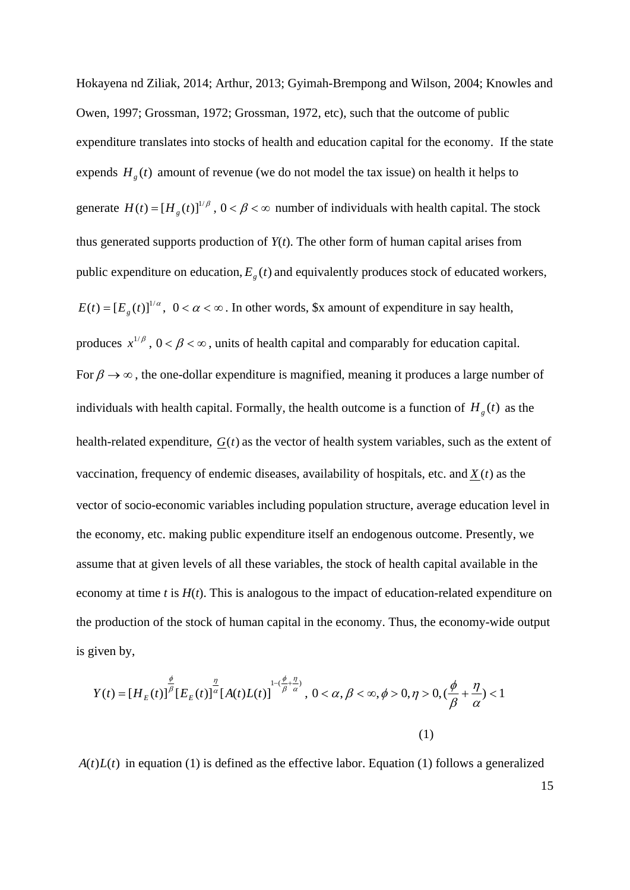Hokayena nd Ziliak, 2014; Arthur, 2013; Gyimah-Brempong and Wilson, 2004; Knowles and Owen, 1997; Grossman, 1972; Grossman, 1972, etc), such that the outcome of public expenditure translates into stocks of health and education capital for the economy. If the state expends  $H<sub>g</sub>(t)$  amount of revenue (we do not model the tax issue) on health it helps to generate  $H(t) = [H<sub>g</sub>(t)]^{1/\beta}$ ,  $0 < \beta < \infty$  number of individuals with health capital. The stock thus generated supports production of  $Y(t)$ . The other form of human capital arises from public expenditure on education,  $E<sub>g</sub>(t)$  and equivalently produces stock of educated workers,  $E(t) = [E<sub>e</sub>(t)]^{1/\alpha}$ ,  $0 < \alpha < \infty$ . In other words, \$x amount of expenditure in say health, produces  $x^{1/\beta}$ ,  $0 < \beta < \infty$ , units of health capital and comparably for education capital. For  $\beta \rightarrow \infty$ , the one-dollar expenditure is magnified, meaning it produces a large number of individuals with health capital. Formally, the health outcome is a function of  $H<sub>g</sub>(t)$  as the health-related expenditure, *G*(*t*) as the vector of health system variables, such as the extent of vaccination, frequency of endemic diseases, availability of hospitals, etc. and *X* (*t*) as the vector of socio-economic variables including population structure, average education level in the economy, etc. making public expenditure itself an endogenous outcome. Presently, we assume that at given levels of all these variables, the stock of health capital available in the economy at time *t* is *H*(*t*). This is analogous to the impact of education-related expenditure on the production of the stock of human capital in the economy. Thus, the economy-wide output is given by,

$$
Y(t) = [H_E(t)]^{\frac{\phi}{\beta}} [E_E(t)]^{\frac{\eta}{\alpha}} [A(t)L(t)]^{1-(\frac{\phi}{\beta}+\frac{\eta}{\alpha})}, 0 < \alpha, \beta < \infty, \phi > 0, \eta > 0, (\frac{\phi}{\beta}+\frac{\eta}{\alpha}) < 1
$$
\n(1)

 $A(t)L(t)$  in equation (1) is defined as the effective labor. Equation (1) follows a generalized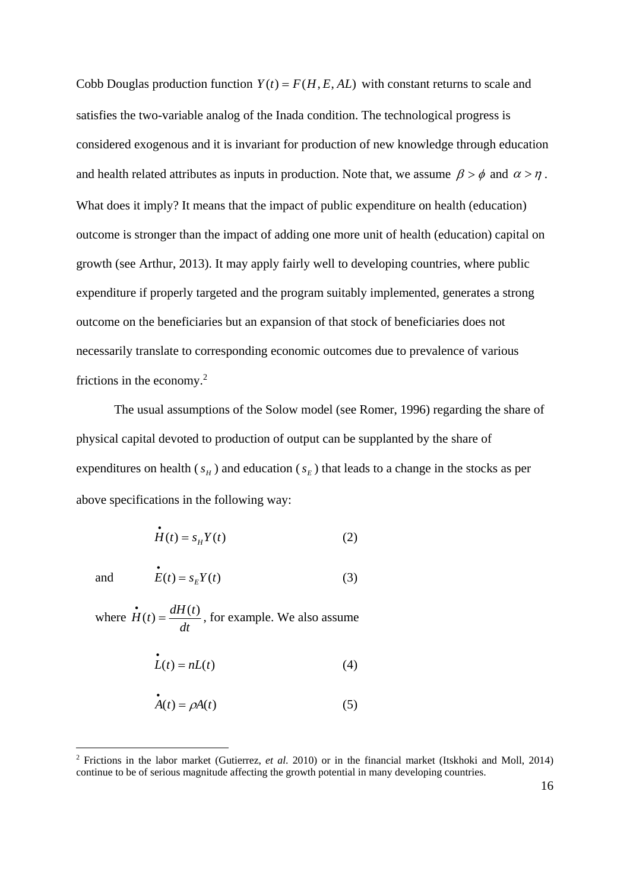Cobb Douglas production function  $Y(t) = F(H, E, AL)$  with constant returns to scale and satisfies the two-variable analog of the Inada condition. The technological progress is considered exogenous and it is invariant for production of new knowledge through education and health related attributes as inputs in production. Note that, we assume  $\beta > \phi$  and  $\alpha > \eta$ . What does it imply? It means that the impact of public expenditure on health (education) outcome is stronger than the impact of adding one more unit of health (education) capital on growth (see Arthur, 2013). It may apply fairly well to developing countries, where public expenditure if properly targeted and the program suitably implemented, generates a strong outcome on the beneficiaries but an expansion of that stock of beneficiaries does not necessarily translate to corresponding economic outcomes due to prevalence of various frictions in the economy.<sup>2</sup>

The usual assumptions of the Solow model (see Romer, 1996) regarding the share of physical capital devoted to production of output can be supplanted by the share of expenditures on health  $(s_H)$  and education  $(s_F)$  that leads to a change in the stocks as per above specifications in the following way:

$$
\dot{H}(t) = s_H Y(t) \tag{2}
$$

1

and  $\dot{E}(t) = s_E Y(t)$ (3)

where *dt*  $\dot{H}(t) = \frac{dH(t)}{dt}$ , for example. We also assume

$$
L(t) = nL(t) \tag{4}
$$

$$
\mathring{A}(t) = \rho A(t) \tag{5}
$$

<sup>2</sup> Frictions in the labor market (Gutierrez, *et al*. 2010) or in the financial market (Itskhoki and Moll, 2014) continue to be of serious magnitude affecting the growth potential in many developing countries.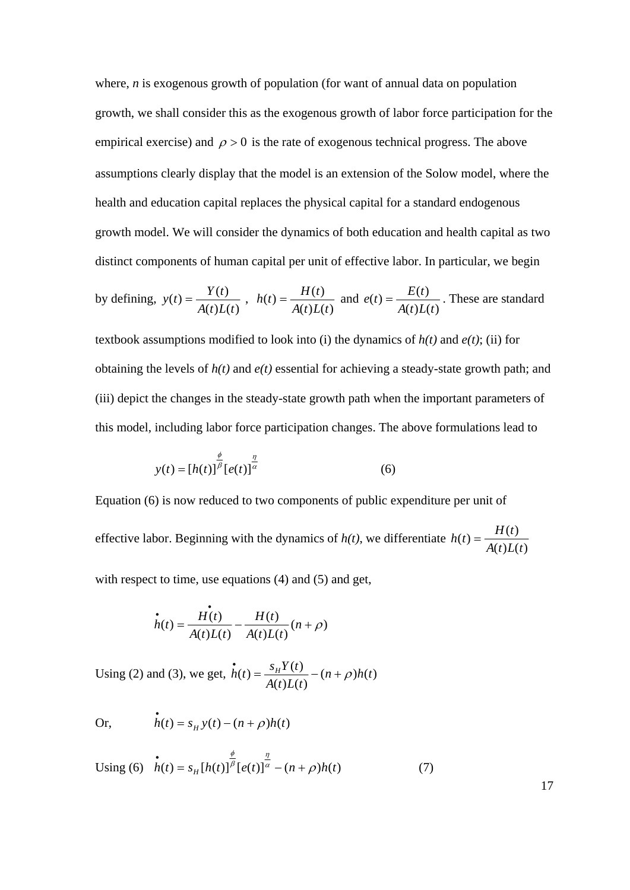where, *n* is exogenous growth of population (for want of annual data on population growth, we shall consider this as the exogenous growth of labor force participation for the empirical exercise) and  $\rho > 0$  is the rate of exogenous technical progress. The above assumptions clearly display that the model is an extension of the Solow model, where the health and education capital replaces the physical capital for a standard endogenous growth model. We will consider the dynamics of both education and health capital as two distinct components of human capital per unit of effective labor. In particular, we begin

by defining, 
$$
y(t) = \frac{Y(t)}{A(t)L(t)}
$$
,  $h(t) = \frac{H(t)}{A(t)L(t)}$  and  $e(t) = \frac{E(t)}{A(t)L(t)}$ . These are standard

textbook assumptions modified to look into (i) the dynamics of  $h(t)$  and  $e(t)$ ; (ii) for obtaining the levels of *h(t)* and *e(t)* essential for achieving a steady-state growth path; and (iii) depict the changes in the steady-state growth path when the important parameters of this model, including labor force participation changes. The above formulations lead to

$$
y(t) = [h(t)]^{\frac{\phi}{\beta}} [e(t)]^{\frac{\eta}{\alpha}}
$$
 (6)

Equation (6) is now reduced to two components of public expenditure per unit of

effective labor. Beginning with the dynamics of  $h(t)$ , we differentiate  $h(t) = \frac{H(t)}{A(t)L(t)}$ 

with respect to time, use equations (4) and (5) and get,

$$
\dot{h}(t) = \frac{H(t)}{A(t)L(t)} - \frac{H(t)}{A(t)L(t)}(n+\rho)
$$

Using (2) and (3), we get,  $\vec{h}(t) = \frac{s_H Y(t)}{A(t)L(t)} - (n + \rho)h(t)$  $A(t)L(t)$  $\dot{h}(t) = \frac{s_H Y(t)}{1 + s_H Y(t)} - (n + \rho)$ 

Or,  $h(t) = s_{H} y(t) - (n + \rho)h(t)$ 

Using (6) 
$$
\dot{h}(t) = s_H [h(t)]^{\frac{\phi}{\beta}} [e(t)]^{\frac{\eta}{\alpha}} - (n+\rho)h(t)
$$
 (7)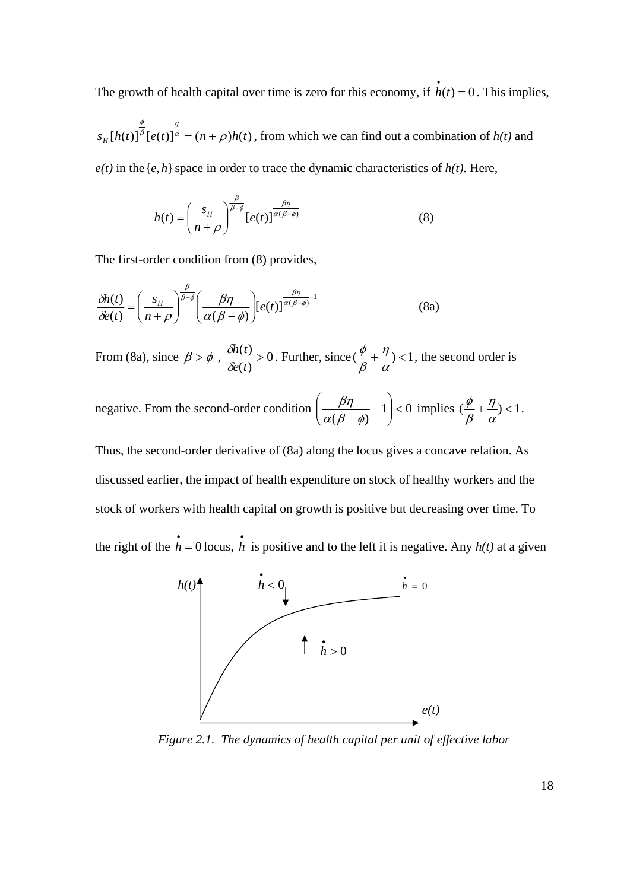The growth of health capital over time is zero for this economy, if  $\vec{h}(t) = 0$ . This implies,

 $s_H[h(t)]^{\frac{\varphi}{\beta}}[e(t)]^{\frac{\eta}{\alpha}} = (n+\rho)h(t)$  $\phi$  $=(n + \rho)h(t)$ , from which we can find out a combination of  $h(t)$  and

 $e(t)$  in the  $\{e, h\}$  space in order to trace the dynamic characteristics of  $h(t)$ . Here,

$$
h(t) = \left(\frac{s_H}{n+\rho}\right)^{\frac{\beta}{\beta-\phi}} [e(t)]^{\frac{\beta\eta}{\alpha(\beta-\phi)}}
$$
(8)

The first-order condition from (8) provides,

$$
\frac{\delta h(t)}{\delta e(t)} = \left(\frac{s_H}{n+\rho}\right)^{\frac{\beta}{\beta-\phi}} \left(\frac{\beta\eta}{\alpha(\beta-\phi)}\right) \left[e(t)\right]^{\frac{\beta\eta}{\alpha(\beta-\phi)}-1}
$$
(8a)

From (8a), since  $\beta > \phi$ ,  $\frac{\partial h(t)}{\partial x} > 0$  $(t)$  $\frac{(t)}{t}$ *e t*  $h(t)$  $\frac{\partial h(t)}{\partial e(t)} > 0$ . Further, since  $(\frac{\phi}{\beta} + \frac{\eta}{\alpha}) < 1$  $\eta$  $_{\beta}$  $\frac{\phi}{\phi} + \frac{\eta}{\phi}$  < 1, the second order is

negative. From the second-order condition  $\frac{\rho}{\rho} - 1 < 0$  $\left(\frac{\rho\eta}{(\beta-\phi)}-1\right)$  $\left(\frac{\beta\eta}{\alpha(\beta-\phi)}-1\right)$  $\setminus$  $\left(\frac{\beta\eta}{\beta\gamma\gamma}-\right)$  $\alpha(\beta-\phi)$  $\left(\frac{\beta\eta}{\beta-\phi}-1\right)$  < 0 implies  $\left(\frac{\phi}{\beta}+\frac{\eta}{\alpha}\right)$  < 1  $\eta$  $_{\beta}$  $\frac{\phi}{a} + \frac{\eta}{a}$  < 1.

Thus, the second-order derivative of (8a) along the locus gives a concave relation. As discussed earlier, the impact of health expenditure on stock of healthy workers and the stock of workers with health capital on growth is positive but decreasing over time. To the right of the  $\hat{h} = 0$  locus,  $\hat{h}$  is positive and to the left it is negative. Any  $h(t)$  at a given



*Figure 2.1. The dynamics of health capital per unit of effective labor*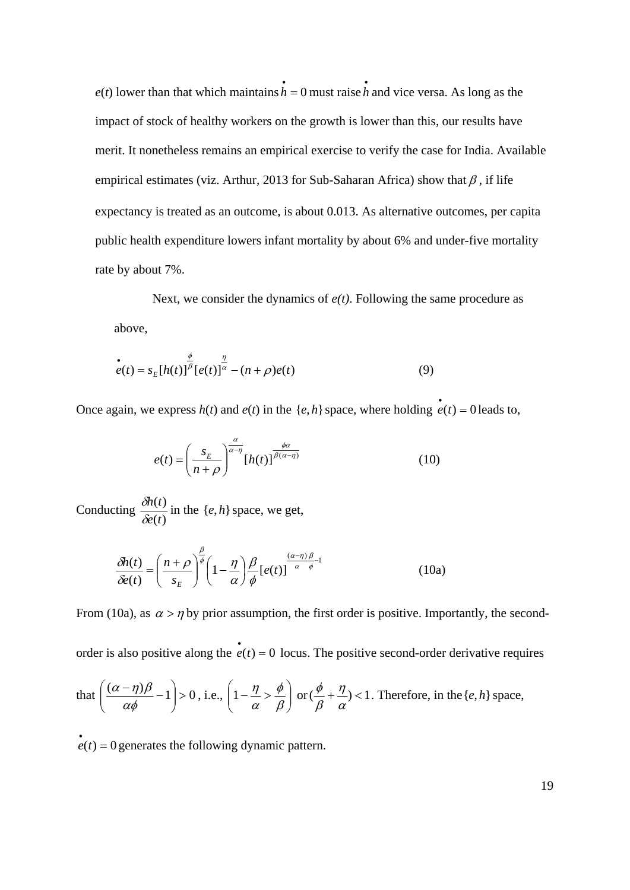$e(t)$  lower than that which maintains  $\dot{h} = 0$  must raise h and vice versa. As long as the impact of stock of healthy workers on the growth is lower than this, our results have merit. It nonetheless remains an empirical exercise to verify the case for India. Available empirical estimates (viz. Arthur, 2013 for Sub-Saharan Africa) show that  $\beta$ , if life expectancy is treated as an outcome, is about 0.013. As alternative outcomes, per capita public health expenditure lowers infant mortality by about 6% and under-five mortality rate by about 7%.

Next, we consider the dynamics of *e(t)*. Following the same procedure as above,

$$
\dot{e}(t) = s_E[h(t)]^{\frac{\phi}{\beta}}[e(t)]^{\frac{\eta}{\alpha}} - (n+\rho)e(t)
$$
\n(9)

Once again, we express  $h(t)$  and  $e(t)$  in the  $\{e, h\}$  space, where holding  $e(t) = 0$  leads to,

$$
e(t) = \left(\frac{s_E}{n+\rho}\right)^{\frac{\alpha}{\alpha-\eta}} [h(t)]^{\frac{\phi\alpha}{\beta(\alpha-\eta)}}
$$
(10)

Conducting  $\frac{\delta h(t)}{\delta e(t)}$ *e t h t*  $\frac{\partial h(t)}{\partial e(t)}$  in the {*e*, *h*} space, we get,

$$
\frac{\delta h(t)}{\delta e(t)} = \left(\frac{n+\rho}{s_E}\right)^{\frac{\beta}{\phi}} \left(1-\frac{\eta}{\alpha}\right) \frac{\beta}{\phi} \left[e(t)\right]^{\frac{(\alpha-\eta)\beta}{\alpha-\phi}-1}
$$
(10a)

From (10a), as  $\alpha > \eta$  by prior assumption, the first order is positive. Importantly, the second-

order is also positive along the  $\vec{e}(t) = 0$  locus. The positive second-order derivative requires

that 
$$
\left(\frac{(\alpha - \eta)\beta}{\alpha\phi} - 1\right) > 0
$$
, i.e.,  $\left(1 - \frac{\eta}{\alpha} > \frac{\phi}{\beta}\right)$  or  $\left(\frac{\phi}{\beta} + \frac{\eta}{\alpha}\right) < 1$ . Therefore, in the  $\{e, h\}$  space,

 $e(t) = 0$  generates the following dynamic pattern.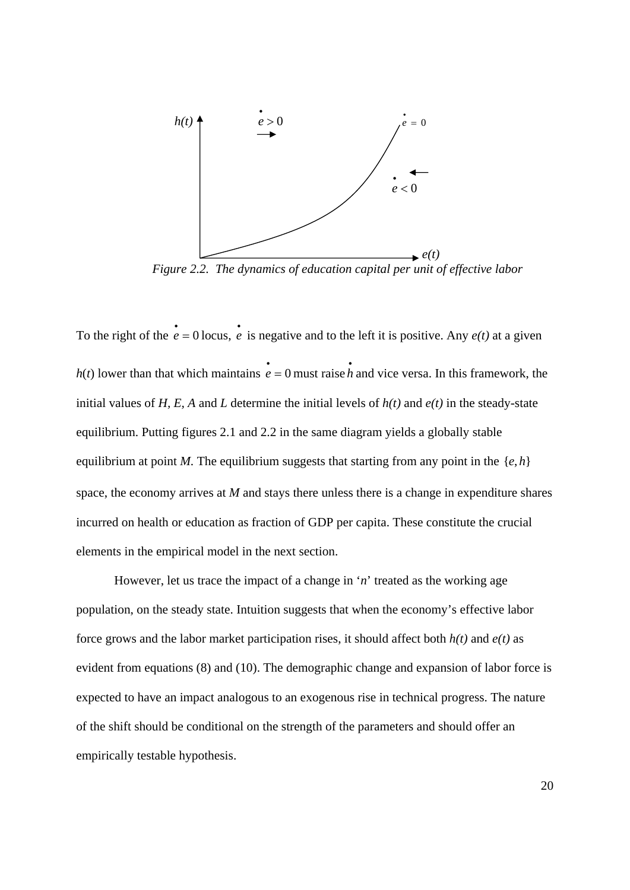

*Figure 2.2. The dynamics of education capital per unit of effective labor*

To the right of the  $\dot{e} = 0$  locus,  $\dot{e}$  is negative and to the left it is positive. Any  $e(t)$  at a given  $h(t)$  lower than that which maintains  $\dot{e} = 0$  must raise h and vice versa. In this framework, the initial values of *H, E, A* and *L* determine the initial levels of  $h(t)$  and  $e(t)$  in the steady-state equilibrium. Putting figures 2.1 and 2.2 in the same diagram yields a globally stable equilibrium at point *M*. The equilibrium suggests that starting from any point in the  $\{e, h\}$ space, the economy arrives at *M* and stays there unless there is a change in expenditure shares incurred on health or education as fraction of GDP per capita. These constitute the crucial elements in the empirical model in the next section.

However, let us trace the impact of a change in '*n*' treated as the working age population, on the steady state. Intuition suggests that when the economy's effective labor force grows and the labor market participation rises, it should affect both *h(t)* and *e(t)* as evident from equations (8) and (10). The demographic change and expansion of labor force is expected to have an impact analogous to an exogenous rise in technical progress. The nature of the shift should be conditional on the strength of the parameters and should offer an empirically testable hypothesis.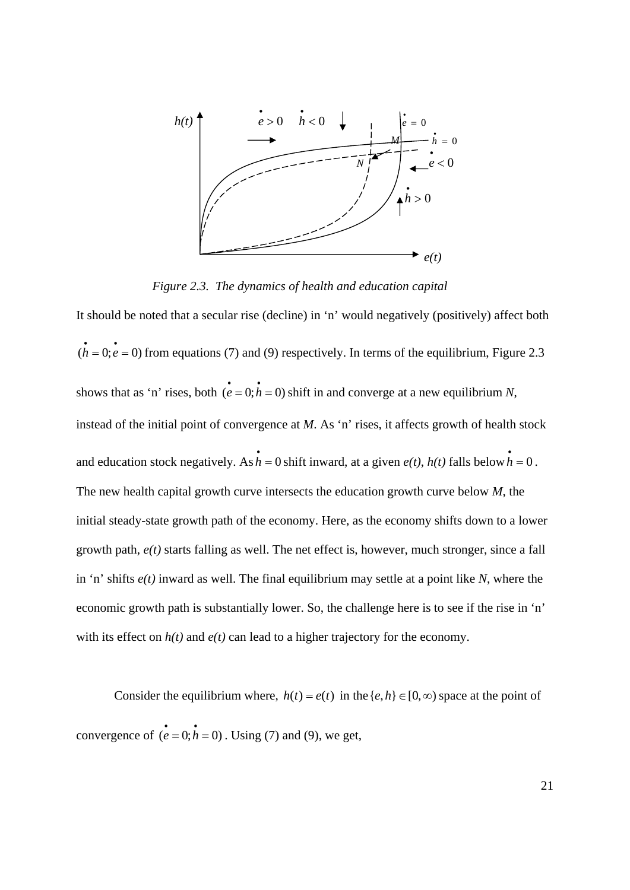

*Figure 2.3. The dynamics of health and education capital* 

It should be noted that a secular rise (decline) in 'n' would negatively (positively) affect both  $\dot{h} = 0; e = 0$  from equations (7) and (9) respectively. In terms of the equilibrium, Figure 2.3 shows that as 'n' rises, both  $\vec{e} = 0; \vec{h} = 0$  shift in and converge at a new equilibrium *N*, instead of the initial point of convergence at *M*. As 'n' rises, it affects growth of health stock and education stock negatively. As  $\vec{h} = 0$  shift inward, at a given  $e(t)$ ,  $h(t)$  falls below  $\vec{h} = 0$ . The new health capital growth curve intersects the education growth curve below *M*, the initial steady-state growth path of the economy. Here, as the economy shifts down to a lower growth path, *e(t)* starts falling as well. The net effect is, however, much stronger, since a fall in 'n' shifts *e(t)* inward as well. The final equilibrium may settle at a point like *N*, where the economic growth path is substantially lower. So, the challenge here is to see if the rise in 'n' with its effect on  $h(t)$  and  $e(t)$  can lead to a higher trajectory for the economy.

Consider the equilibrium where,  $h(t) = e(t)$  in the  $\{e, h\} \in [0, \infty)$  space at the point of convergence of  $(e = 0; h = 0)$ . Using (7) and (9), we get,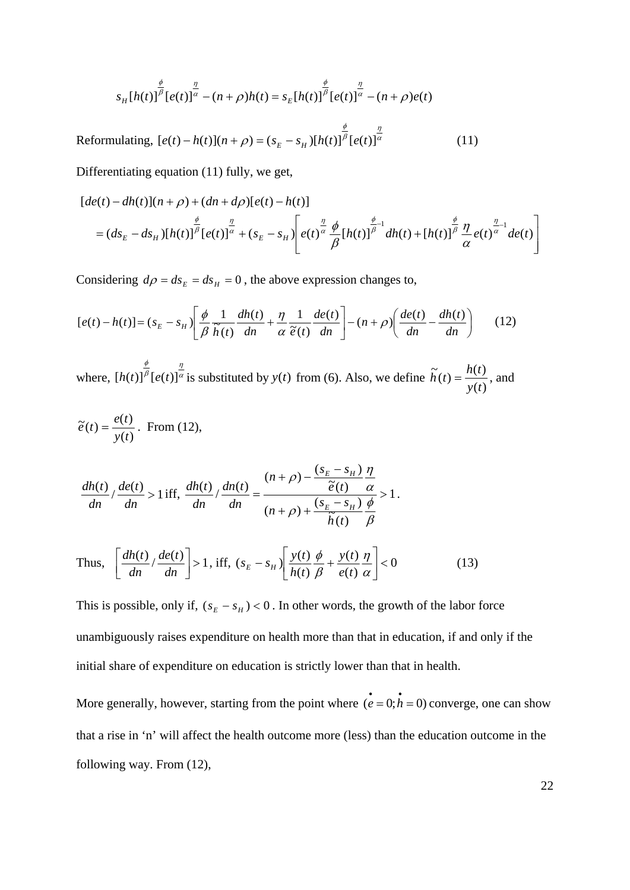$$
s_H[h(t)]^{\frac{\phi}{\beta}}[e(t)]^{\frac{\eta}{\alpha}} - (n+\rho)h(t) = s_E[h(t)]^{\frac{\phi}{\beta}}[e(t)]^{\frac{\eta}{\alpha}} - (n+\rho)e(t)
$$

Reformulating,  $[e(t) - h(t)](n+\rho) = (s_E - s_H)[h(t)]^{\frac{\varphi}{\rho}}[e(t)]^{\frac{\eta}{\alpha}}$  $\phi$  $[e(t) - h(t)](n + \rho) = (s_E - s_H)[h(t)]^{\beta} [e(t)]^{\alpha}$  (11)

Differentiating equation (11) fully, we get,

$$
[de(t) - dh(t)](n+\rho) + (dn+d\rho)[e(t) - h(t)]
$$
  
=  $(ds_E - ds_H)[h(t)]^{\frac{\phi}{\beta}}[e(t)]^{\frac{\eta}{\alpha}} + (s_E - s_H)\left[e(t)^{\frac{\eta}{\alpha}}\frac{\phi}{\beta}[h(t)]^{\frac{\phi}{\beta}}\right]dh(t) + [h(t)]^{\frac{\phi}{\beta}}\frac{\eta}{\alpha}e(t)^{\frac{\eta}{\alpha}}de(t)\right]$ 

Considering  $d\rho = ds_E = ds_H = 0$ , the above expression changes to,

$$
[e(t) - h(t)] = (s_E - s_H) \left[ \frac{\phi}{\beta} \frac{1}{\widetilde{h}(t)} \frac{dh(t)}{dn} + \frac{\eta}{\alpha} \frac{1}{\widetilde{e}(t)} \frac{de(t)}{dn} \right] - (n + \rho) \left( \frac{de(t)}{dn} - \frac{dh(t)}{dn} \right) \tag{12}
$$

where,  $[h(t)]^{\frac{\varphi}{\beta}}[e(t)]^{\frac{\eta}{\alpha}}$  $\phi$  $[h(t)]^{\frac{\psi}{\beta}}[e(t)]^{\frac{\eta}{\alpha}}$  is substituted by  $y(t)$  from (6). Also, we define  $\widetilde{h}(t) = \frac{h(t)}{y(t)}$ *y t*  $\widetilde{h}(t) = \frac{h(t)}{h(t)}$ , and

$$
\widetilde{e}(t) = \frac{e(t)}{y(t)}.
$$
 From (12),

$$
\frac{dh(t)}{dn} \Big| \frac{de(t)}{dn} > 1 \text{ iff, } \frac{dh(t)}{dn} \Big| \frac{dn(t)}{dn} = \frac{(n+\rho) - \frac{(s_E - s_H)}{\widetilde{e}(t)} \frac{\eta}{\alpha}}{(n+\rho) + \frac{(s_E - s_H)}{\widetilde{h}(t)} \frac{\phi}{\beta}} > 1.
$$

Thus, 
$$
\left[\frac{dh(t)}{dn} \cdot \frac{de(t)}{dn}\right] > 1
$$
, iff,  $(s_E - s_H) \left[\frac{y(t)}{h(t)} \frac{\phi}{\beta} + \frac{y(t)}{e(t)} \frac{\eta}{\alpha}\right] < 0$  (13)

This is possible, only if,  $(s_E - s_H) < 0$ . In other words, the growth of the labor force unambiguously raises expenditure on health more than that in education, if and only if the initial share of expenditure on education is strictly lower than that in health.

More generally, however, starting from the point where  $(e = 0; h = 0)$  converge, one can show that a rise in 'n' will affect the health outcome more (less) than the education outcome in the following way. From (12),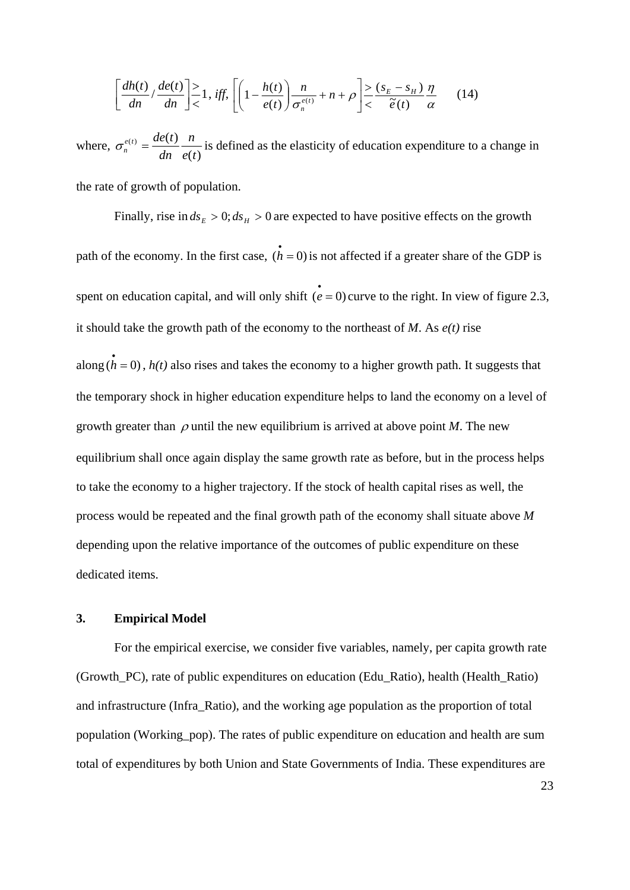$$
\left[\frac{dh(t)}{dn} \cdot \frac{de(t)}{dn}\right] \ge 1, \text{ iff, } \left[\left(1 - \frac{h(t)}{e(t)}\right)\frac{n}{\sigma_n^{e(t)}} + n + \rho\right] \ge \frac{(s_E - s_H)}{\tilde{e}(t)}\frac{\eta}{\alpha} \qquad (14)
$$

where,  $\sigma_n^{e(t)} = \frac{de(t)}{dn} \frac{n}{e(t)}$ *e t n*  $\sigma_n^{e(t)} = \frac{de(t)}{dn} \frac{n}{e(t)}$  is defined as the elasticity of education expenditure to a change in

the rate of growth of population.

Finally, rise in  $ds_E > 0$ ;  $ds_H > 0$  are expected to have positive effects on the growth path of the economy. In the first case,  $(\vec{h} = 0)$  is not affected if a greater share of the GDP is spent on education capital, and will only shift  $(e = 0)$  curve to the right. In view of figure 2.3, it should take the growth path of the economy to the northeast of *M*. As *e(t)* rise along  $(h = 0)$ ,  $h(t)$  also rises and takes the economy to a higher growth path. It suggests that the temporary shock in higher education expenditure helps to land the economy on a level of growth greater than  $\rho$  until the new equilibrium is arrived at above point *M*. The new equilibrium shall once again display the same growth rate as before, but in the process helps to take the economy to a higher trajectory. If the stock of health capital rises as well, the process would be repeated and the final growth path of the economy shall situate above *M* depending upon the relative importance of the outcomes of public expenditure on these dedicated items.

#### **3. Empirical Model**

For the empirical exercise, we consider five variables, namely, per capita growth rate (Growth\_PC), rate of public expenditures on education (Edu\_Ratio), health (Health\_Ratio) and infrastructure (Infra\_Ratio), and the working age population as the proportion of total population (Working\_pop). The rates of public expenditure on education and health are sum total of expenditures by both Union and State Governments of India. These expenditures are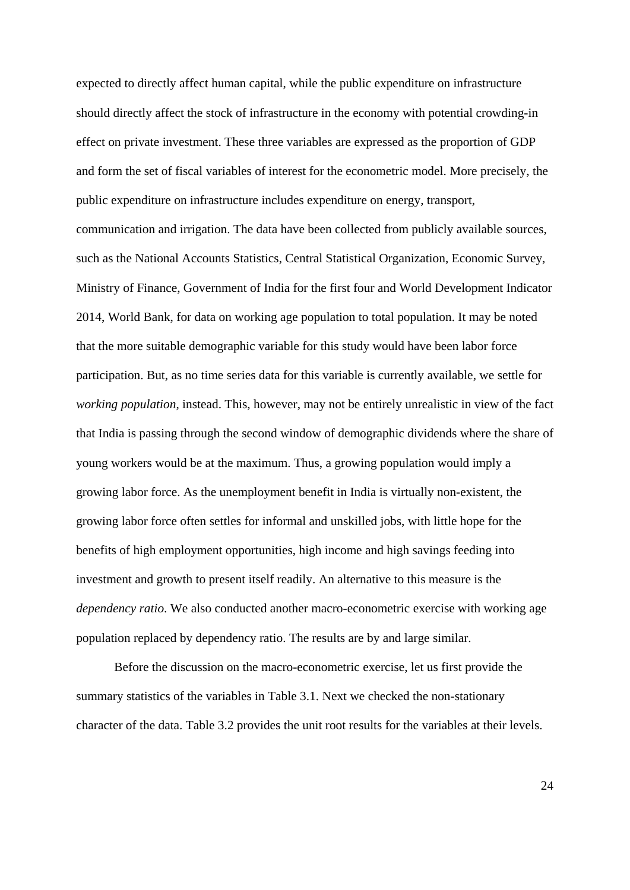expected to directly affect human capital, while the public expenditure on infrastructure should directly affect the stock of infrastructure in the economy with potential crowding-in effect on private investment. These three variables are expressed as the proportion of GDP and form the set of fiscal variables of interest for the econometric model. More precisely, the public expenditure on infrastructure includes expenditure on energy, transport, communication and irrigation. The data have been collected from publicly available sources, such as the National Accounts Statistics, Central Statistical Organization, Economic Survey, Ministry of Finance, Government of India for the first four and World Development Indicator 2014, World Bank, for data on working age population to total population. It may be noted that the more suitable demographic variable for this study would have been labor force participation. But, as no time series data for this variable is currently available, we settle for *working population*, instead. This, however, may not be entirely unrealistic in view of the fact that India is passing through the second window of demographic dividends where the share of young workers would be at the maximum. Thus, a growing population would imply a growing labor force. As the unemployment benefit in India is virtually non-existent, the growing labor force often settles for informal and unskilled jobs, with little hope for the benefits of high employment opportunities, high income and high savings feeding into investment and growth to present itself readily. An alternative to this measure is the *dependency ratio*. We also conducted another macro-econometric exercise with working age population replaced by dependency ratio. The results are by and large similar.

Before the discussion on the macro-econometric exercise, let us first provide the summary statistics of the variables in Table 3.1. Next we checked the non-stationary character of the data. Table 3.2 provides the unit root results for the variables at their levels.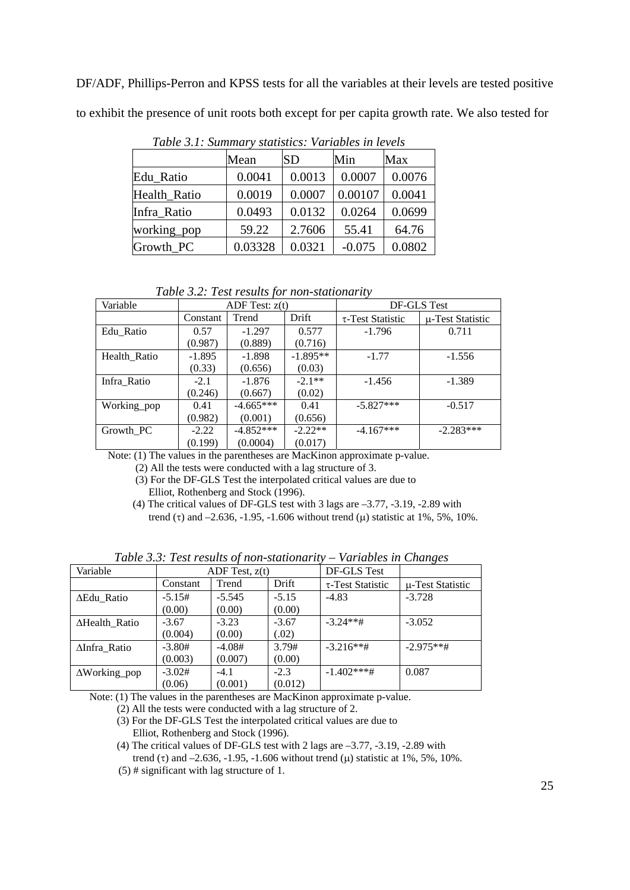DF/ADF, Phillips-Perron and KPSS tests for all the variables at their levels are tested positive to exhibit the presence of unit roots both except for per capita growth rate. We also tested for

| Two is site bullioned to build the control to the construction of the term of the construction of the construction of the construction of the construction of the construction of the construction of the construction of the |         |           |          |        |  |  |  |  |
|-------------------------------------------------------------------------------------------------------------------------------------------------------------------------------------------------------------------------------|---------|-----------|----------|--------|--|--|--|--|
|                                                                                                                                                                                                                               | Mean    | <b>SD</b> | Min      | Max    |  |  |  |  |
| Edu Ratio                                                                                                                                                                                                                     | 0.0041  | 0.0013    | 0.0007   | 0.0076 |  |  |  |  |
| Health Ratio                                                                                                                                                                                                                  | 0.0019  | 0.0007    | 0.00107  | 0.0041 |  |  |  |  |
| Infra Ratio                                                                                                                                                                                                                   | 0.0493  | 0.0132    | 0.0264   | 0.0699 |  |  |  |  |
| working_pop                                                                                                                                                                                                                   | 59.22   | 2.7606    | 55.41    | 64.76  |  |  |  |  |
| Growth_PC                                                                                                                                                                                                                     | 0.03328 | 0.0321    | $-0.075$ | 0.0802 |  |  |  |  |

 *Table 3.1: Summary statistics: Variables in levels* 

 *Table 3.2: Test results for non-stationarity* 

| Variable     | ADF Test: $z(t)$ |             |            | DF-GLS Test            |                  |  |
|--------------|------------------|-------------|------------|------------------------|------------------|--|
|              | Constant         | Trend       | Drift      | $\tau$ -Test Statistic | u-Test Statistic |  |
| Edu Ratio    | 0.57             | $-1.297$    | 0.577      | $-1.796$               | 0.711            |  |
|              | (0.987)          | (0.889)     | (0.716)    |                        |                  |  |
| Health Ratio | $-1.895$         | $-1.898$    | $-1.895**$ | $-1.77$                | $-1.556$         |  |
|              | (0.33)           | (0.656)     | (0.03)     |                        |                  |  |
| Infra Ratio  | $-2.1$           | $-1.876$    | $-2.1**$   | $-1.456$               | $-1.389$         |  |
|              | (0.246)          | (0.667)     | (0.02)     |                        |                  |  |
| Working_pop  | 0.41             | $-4.665***$ | 0.41       | $-5.827***$            | $-0.517$         |  |
|              | (0.982)          | (0.001)     | (0.656)    |                        |                  |  |
| Growth PC    | $-2.22$          | $-4.852***$ | $-2.22**$  | $-4.167***$            | $-2.283***$      |  |
|              | (0.199)          | (0.0004)    | (0.017)    |                        |                  |  |

Note: (1) The values in the parentheses are MacKinon approximate p-value.

 (2) All the tests were conducted with a lag structure of 3. (3) For the DF-GLS Test the interpolated critical values are due to Elliot, Rothenberg and Stock (1996).

 (4) The critical values of DF-GLS test with 3 lags are –3.77, -3.19, -2.89 with trend ( $\tau$ ) and –2.636, -1.95, -1.606 without trend ( $\mu$ ) statistic at 1%, 5%, 10%.

*Table 3.3: Test results of non-stationarity – Variables in Changes* 

| Variable             | ADF Test, $z(t)$ |          |         | DF-GLS Test            |                  |  |
|----------------------|------------------|----------|---------|------------------------|------------------|--|
|                      | Constant         | Trend    | Drift   | $\tau$ -Test Statistic | u-Test Statistic |  |
| ∆Edu Ratio           | $-5.15#$         | $-5.545$ | $-5.15$ | $-4.83$                | $-3.728$         |  |
|                      | (0.00)           | (0.00)   | (0.00)  |                        |                  |  |
| ∆Health_Ratio        | $-3.67$          | $-3.23$  | $-3.67$ | $-3.24***$ #           | $-3.052$         |  |
|                      | (0.004)          | (0.00)   | (.02)   |                        |                  |  |
| ∆Infra Ratio         | $-3.80#$         | $-4.08#$ | 3.79#   | $-3.216**$ #           | $-2.975**$ #     |  |
|                      | (0.003)          | (0.007)  | (0.00)  |                        |                  |  |
| $\Delta$ Working_pop | $-3.02#$         | $-4.1$   | $-2.3$  | $-1.402***$ #          | 0.087            |  |
|                      | (0.06)           | (0.001)  | (0.012) |                        |                  |  |

Note: (1) The values in the parentheses are MacKinon approximate p-value.

- (2) All the tests were conducted with a lag structure of 2. (3) For the DF-GLS Test the interpolated critical values are due to Elliot, Rothenberg and Stock (1996).
- (4) The critical values of DF-GLS test with 2 lags are –3.77, -3.19, -2.89 with trend ( $\tau$ ) and –2.636, -1.95, -1.606 without trend ( $\mu$ ) statistic at 1%, 5%, 10%.
- (5) # significant with lag structure of 1.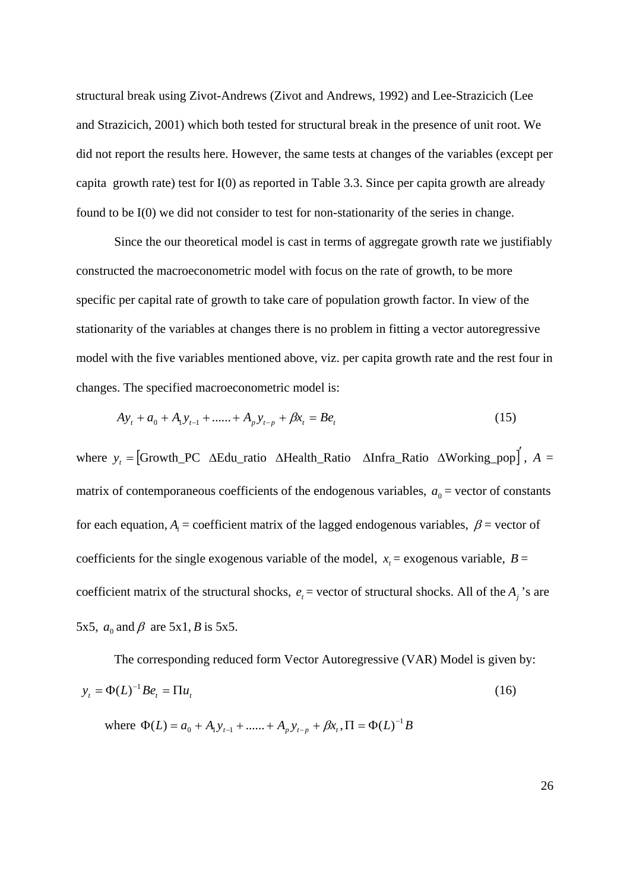structural break using Zivot-Andrews (Zivot and Andrews, 1992) and Lee-Strazicich (Lee and Strazicich, 2001) which both tested for structural break in the presence of unit root. We did not report the results here. However, the same tests at changes of the variables (except per capita growth rate) test for I(0) as reported in Table 3.3. Since per capita growth are already found to be I(0) we did not consider to test for non-stationarity of the series in change.

Since the our theoretical model is cast in terms of aggregate growth rate we justifiably constructed the macroeconometric model with focus on the rate of growth, to be more specific per capital rate of growth to take care of population growth factor. In view of the stationarity of the variables at changes there is no problem in fitting a vector autoregressive model with the five variables mentioned above, viz. per capita growth rate and the rest four in changes. The specified macroeconometric model is:

$$
Ay_t + a_0 + A_1y_{t-1} + \dots + A_py_{t-p} + \beta x_t = Be_t
$$
\n(15)

where  $y_t =$  [Growth\_PC  $\Delta$ Edu\_ratio  $\Delta$ Health\_Ratio  $\Delta$ Infra\_Ratio  $\Delta$ Working\_pop<sup>†</sup>, *A* = matrix of contemporaneous coefficients of the endogenous variables,  $a_0$  = vector of constants for each equation,  $A_i$  = coefficient matrix of the lagged endogenous variables,  $\beta$  = vector of coefficients for the single exogenous variable of the model,  $x<sub>r</sub>$  = exogenous variable,  $B =$ coefficient matrix of the structural shocks,  $e_t$  = vector of structural shocks. All of the  $A_i$ 's are 5x5,  $a_0$  and  $\beta$  are 5x1, *B* is 5x5.

The corresponding reduced form Vector Autoregressive (VAR) Model is given by:  $y_t = \Phi(L)^{-1} B e_t = \Pi u_t$  (16)

where  $\Phi(L) = a_0 + A_1 y_{t-1} + \dots + A_p y_{t-p} + \beta x_t, \Pi = \Phi(L)^{-1} B$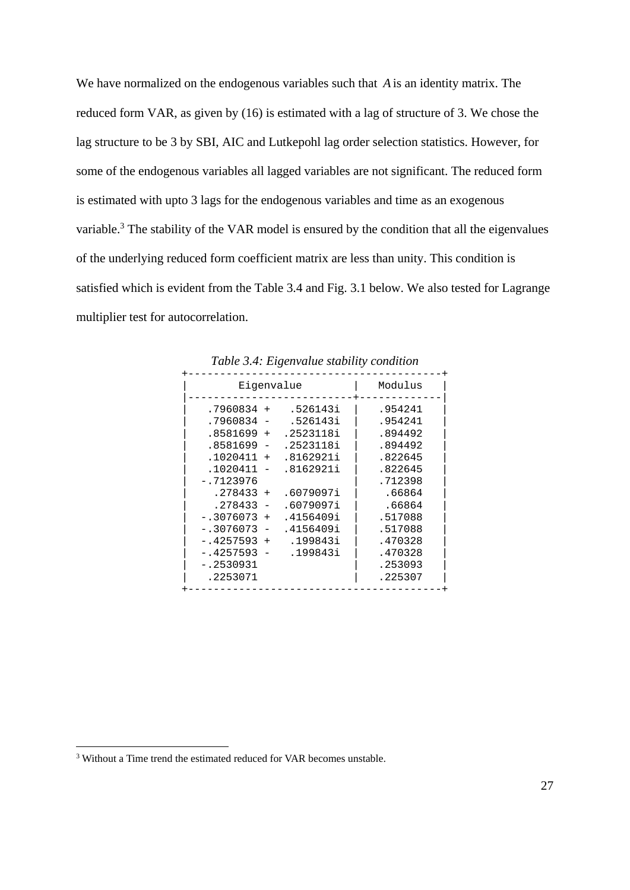We have normalized on the endogenous variables such that *A* is an identity matrix. The reduced form VAR, as given by (16) is estimated with a lag of structure of 3. We chose the lag structure to be 3 by SBI, AIC and Lutkepohl lag order selection statistics. However, for some of the endogenous variables all lagged variables are not significant. The reduced form is estimated with upto 3 lags for the endogenous variables and time as an exogenous variable.<sup>3</sup> The stability of the VAR model is ensured by the condition that all the eigenvalues of the underlying reduced form coefficient matrix are less than unity. This condition is satisfied which is evident from the Table 3.4 and Fig. 3.1 below. We also tested for Lagrange multiplier test for autocorrelation.

| Eigenvalue         | Modulus   |         |  |  |  |  |  |
|--------------------|-----------|---------|--|--|--|--|--|
| $.7960834 +$       | .526143i  | .954241 |  |  |  |  |  |
| .7960834           | .526143i  | .954241 |  |  |  |  |  |
| $.8581699 +$       | .2523118i | .894492 |  |  |  |  |  |
| .8581699 -         | .2523118i | .894492 |  |  |  |  |  |
| $.1020411 +$       | .8162921i | .822645 |  |  |  |  |  |
| .1020411           | .8162921i | .822645 |  |  |  |  |  |
| $-.7123976$        |           | .712398 |  |  |  |  |  |
| .278433<br>$+$     | .6079097i | .66864  |  |  |  |  |  |
| .278433            | .6079097i | .66864  |  |  |  |  |  |
| $-.3076073$<br>$+$ | .4156409i | .517088 |  |  |  |  |  |
| $-.3076073$        | .4156409i | .517088 |  |  |  |  |  |
| $-.4257593$<br>$+$ | .199843i  | .470328 |  |  |  |  |  |
| $-14257593$        | .199843i  | .470328 |  |  |  |  |  |
| $-.2530931$        |           | .253093 |  |  |  |  |  |
| .2253071           |           | .225307 |  |  |  |  |  |
|                    |           |         |  |  |  |  |  |

*Table 3.4: Eigenvalue stability condition* 

<sup>&</sup>lt;sup>3</sup> Without a Time trend the estimated reduced for VAR becomes unstable.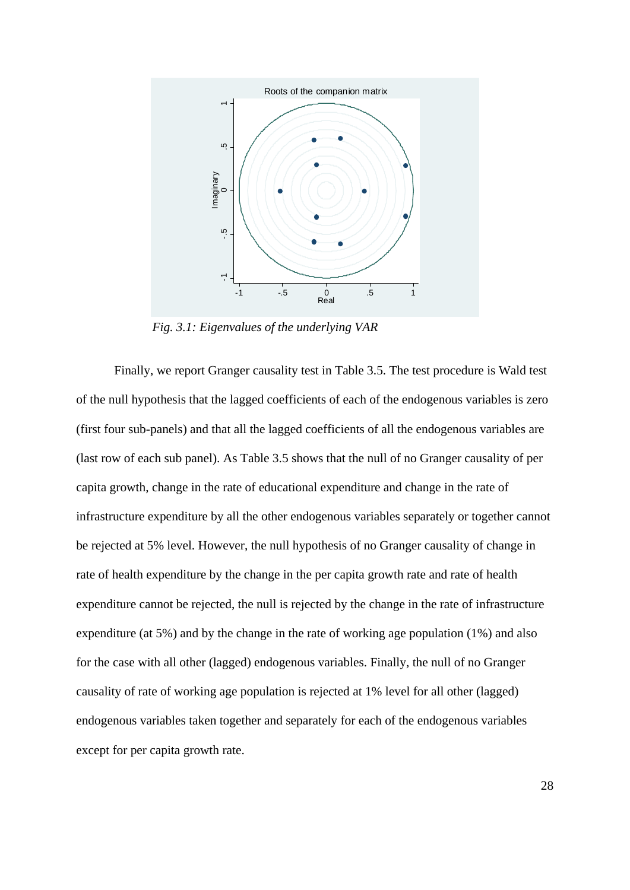

 *Fig. 3.1: Eigenvalues of the underlying VAR* 

Finally, we report Granger causality test in Table 3.5. The test procedure is Wald test of the null hypothesis that the lagged coefficients of each of the endogenous variables is zero (first four sub-panels) and that all the lagged coefficients of all the endogenous variables are (last row of each sub panel). As Table 3.5 shows that the null of no Granger causality of per capita growth, change in the rate of educational expenditure and change in the rate of infrastructure expenditure by all the other endogenous variables separately or together cannot be rejected at 5% level. However, the null hypothesis of no Granger causality of change in rate of health expenditure by the change in the per capita growth rate and rate of health expenditure cannot be rejected, the null is rejected by the change in the rate of infrastructure expenditure (at 5%) and by the change in the rate of working age population (1%) and also for the case with all other (lagged) endogenous variables. Finally, the null of no Granger causality of rate of working age population is rejected at 1% level for all other (lagged) endogenous variables taken together and separately for each of the endogenous variables except for per capita growth rate.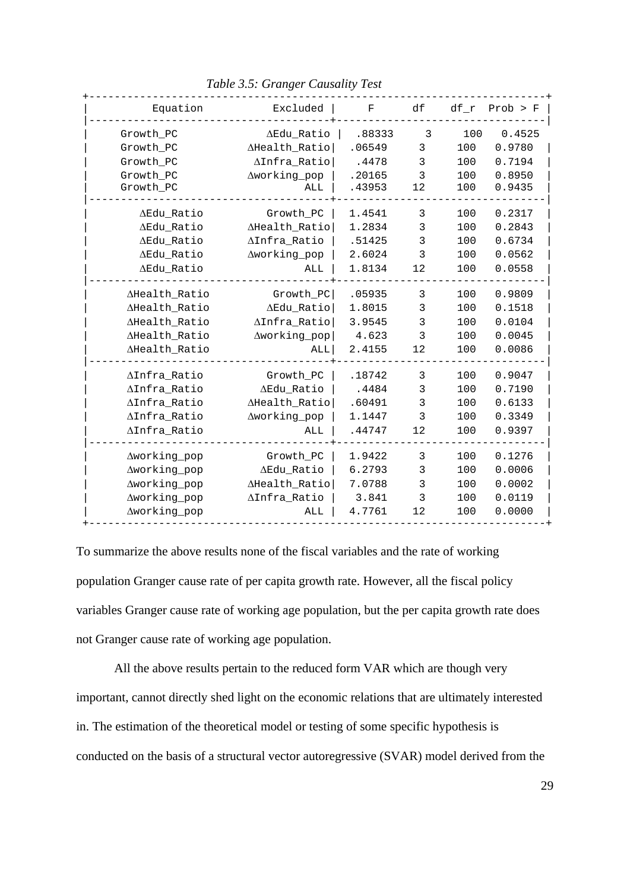+------------------------------------------------------------------------+ Equation  $\qquad$  Excluded | F df df\_r Prob > F | |--------------------------------------+---------------------------------| | Growth\_PC Edu\_Ratio | .88333 3 100 0.4525 | Growth\_PC Health\_Ratio| .06549 3 100 0.9780 | | Growth\_PC Infra\_Ratio| .4478 3 100 0.7194 | | Growth\_PC working\_pop | .20165 3 100 0.8950 | | Growth\_PC ALL | .43953 12 100 0.9435 | |--------------------------------------+---------------------------------| | Edu\_Ratio Growth\_PC | 1.4541 3 100 0.2317 | | Edu\_Ratio Health\_Ratio| 1.2834 3 100 0.2843 | | Edu\_Ratio Infra\_Ratio | .51425 3 100 0.6734 | | Edu\_Ratio working\_pop | 2.6024 3 100 0.0562 | | Edu\_Ratio ALL | 1.8134 12 100 0.0558 | |--------------------------------------+---------------------------------| | Health\_Ratio Growth\_PC| .05935 3 100 0.9809 | | Health\_Ratio Edu\_Ratio| 1.8015 3 100 0.1518 | | Health\_Ratio Infra\_Ratio| 3.9545 3 100 0.0104 | | Health\_Ratio working\_pop| 4.623 3 100 0.0045 | | Health\_Ratio ALL| 2.4155 12 100 0.0086 | |--------------------------------------+---------------------------------| | Infra\_Ratio Growth\_PC | .18742 3 100 0.9047 | | Infra\_Ratio Edu\_Ratio | .4484 3 100 0.7190 | | Infra\_Ratio Health\_Ratio| .60491 3 100 0.6133 | | Infra\_Ratio working\_pop | 1.1447 3 100 0.3349 | | Infra\_Ratio ALL | .44747 12 100 0.9397 | |--------------------------------------+---------------------------------| | working\_pop Growth\_PC | 1.9422 3 100 0.1276 | | Aworking\_pop AEdu\_Ratio | 6.2793 3 100 0.0006 | | working\_pop Health\_Ratio| 7.0788 3 100 0.0002 | | working\_pop Infra\_Ratio | 3.841 3 100 0.0119 | | working\_pop ALL | 4.7761 12 100 0.0000 | Aworking\_pop AHealth\_Ratio 7.0788 3 100 0.0002 |<br>
Aworking\_pop AInfra\_Ratio | 3.841 3 100 0.0119 |<br>
Aworking\_pop ALL | 4.7761 12 100 0.0000 |

 *Table 3.5: Granger Causality Test* 

To summarize the above results none of the fiscal variables and the rate of working population Granger cause rate of per capita growth rate. However, all the fiscal policy variables Granger cause rate of working age population, but the per capita growth rate does not Granger cause rate of working age population.

 All the above results pertain to the reduced form VAR which are though very important, cannot directly shed light on the economic relations that are ultimately interested in. The estimation of the theoretical model or testing of some specific hypothesis is conducted on the basis of a structural vector autoregressive (SVAR) model derived from the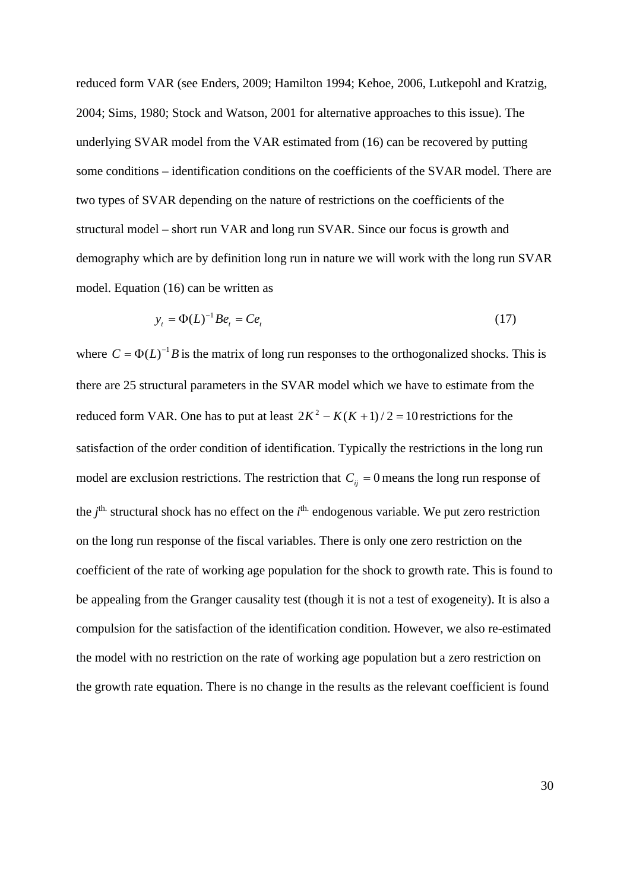reduced form VAR (see Enders, 2009; Hamilton 1994; Kehoe, 2006, Lutkepohl and Kratzig, 2004; Sims, 1980; Stock and Watson, 2001 for alternative approaches to this issue). The underlying SVAR model from the VAR estimated from (16) can be recovered by putting some conditions – identification conditions on the coefficients of the SVAR model. There are two types of SVAR depending on the nature of restrictions on the coefficients of the structural model – short run VAR and long run SVAR. Since our focus is growth and demography which are by definition long run in nature we will work with the long run SVAR model. Equation (16) can be written as

$$
y_t = \Phi(L)^{-1} B e_t = C e_t \tag{17}
$$

where  $C = \Phi(L)^{-1}B$  is the matrix of long run responses to the orthogonalized shocks. This is there are 25 structural parameters in the SVAR model which we have to estimate from the reduced form VAR. One has to put at least  $2K^2 - K(K+1)/2 = 10$  restrictions for the satisfaction of the order condition of identification. Typically the restrictions in the long run model are exclusion restrictions. The restriction that  $C_{ij} = 0$  means the long run response of the *j*<sup>th.</sup> structural shock has no effect on the *i*<sup>th.</sup> endogenous variable. We put zero restriction on the long run response of the fiscal variables. There is only one zero restriction on the coefficient of the rate of working age population for the shock to growth rate. This is found to be appealing from the Granger causality test (though it is not a test of exogeneity). It is also a compulsion for the satisfaction of the identification condition. However, we also re-estimated the model with no restriction on the rate of working age population but a zero restriction on the growth rate equation. There is no change in the results as the relevant coefficient is found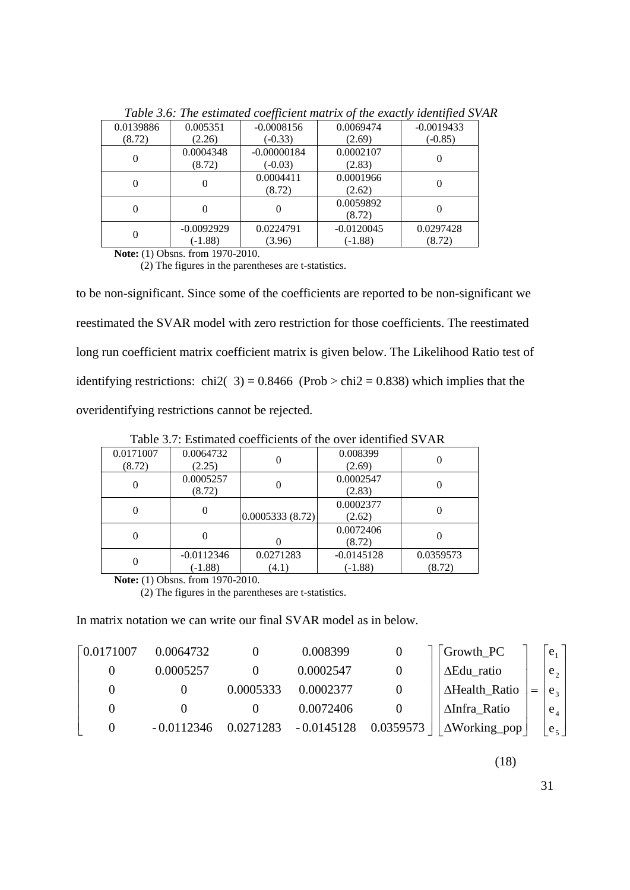| 0.0139886 | 0.005351                  | $-0.0008156$               | 0.0069474                 | $-0.0019433$        |
|-----------|---------------------------|----------------------------|---------------------------|---------------------|
| (8.72)    | (2.26)                    | $(-0.33)$                  | (2.69)                    | $(-0.85)$           |
|           | 0.0004348<br>(8.72)       | $-0.00000184$<br>$(-0.03)$ | 0.0002107<br>(2.83)       |                     |
| 0         |                           | 0.0004411<br>(8.72)        | 0.0001966<br>(2.62)       |                     |
|           |                           |                            | 0.0059892<br>(8.72)       |                     |
| 0         | $-0.0092929$<br>$(-1.88)$ | 0.0224791<br>(3.96)        | $-0.0120045$<br>$(-1.88)$ | 0.0297428<br>(8.72) |

 *Table 3.6: The estimated coefficient matrix of the exactly identified SVAR* 

**Note:** (1) Obsns. from 1970-2010.

(2) The figures in the parentheses are t-statistics.

to be non-significant. Since some of the coefficients are reported to be non-significant we reestimated the SVAR model with zero restriction for those coefficients. The reestimated long run coefficient matrix coefficient matrix is given below. The Likelihood Ratio test of identifying restrictions: chi2( $3$ ) = 0.8466 (Prob > chi2 = 0.838) which implies that the overidentifying restrictions cannot be rejected.

0.0171007 (8.72) 0.0064732  $(2.25)$  0 0.008399<br>(2.25) 0 0.008399  $(2.69)$  0 0  $0.0005257$ <br>(8.72)  $\begin{array}{|c|c|c|}\n\hline\n0.0002547 \\
\hline\n0.0002547\n\end{array}$  $\begin{array}{c|c} 0.002347 & 0 \\ (2.83) & 0 \end{array}$ 0 0.0005333 (8.72) 0.0002377  $\begin{array}{c|c} 0.002377 & 0 \\ (2.62) & 0 \end{array}$  $\begin{array}{ccccccc} 0 & & 0 & & 0 \end{array}$ 0.0072406  $\begin{array}{c|c} 0072400 & 0 \\ (8.72) & 0 \end{array}$  $\begin{array}{|c|c|c|c|c|}\n\hline\n0 & -0.0112346 \\
\hline\n0.1883\n\end{array}$ (-1.88) 0.0271283 (4.1) -0.0145128 (-1.88) 0.0359573 (8.72)

Table 3.7: Estimated coefficients of the over identified SVAR

**Note:** (1) Obsns. from 1970-2010.

(2) The figures in the parentheses are t-statistics.

In matrix notation we can write our final SVAR model as in below.

| $\lceil 0.0171007 \rceil$ | 0.0064732    |           | 0.008399                |           | $Growth_PC$                | $e_1$          |
|---------------------------|--------------|-----------|-------------------------|-----------|----------------------------|----------------|
|                           | 0.0005257    |           | 0.0002547               |           | ΔEdu_ratio                 | $e_{\alpha}$   |
|                           |              | 0.0005333 | 0.0002377               |           | AHealth_Ratio              | e <sub>2</sub> |
|                           |              |           | 0.0072406               |           | ∆Infra_Ratio               | $e_4$          |
| $\theta$                  | $-0.0112346$ |           | $0.0271283 - 0.0145128$ | 0.0359573 | $\vert \Delta$ Working_pop | $e_{5}$        |

(18)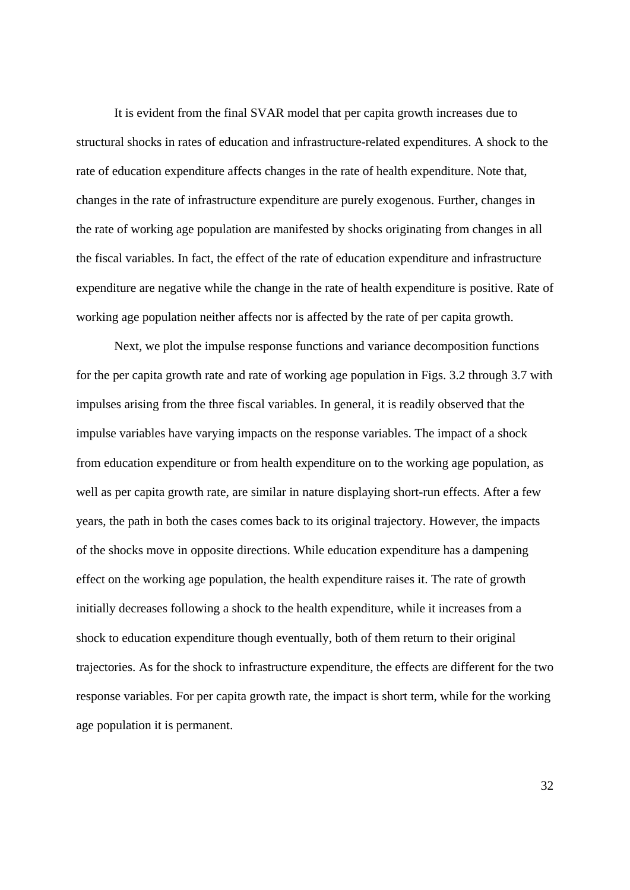It is evident from the final SVAR model that per capita growth increases due to structural shocks in rates of education and infrastructure-related expenditures. A shock to the rate of education expenditure affects changes in the rate of health expenditure. Note that, changes in the rate of infrastructure expenditure are purely exogenous. Further, changes in the rate of working age population are manifested by shocks originating from changes in all the fiscal variables. In fact, the effect of the rate of education expenditure and infrastructure expenditure are negative while the change in the rate of health expenditure is positive. Rate of working age population neither affects nor is affected by the rate of per capita growth.

Next, we plot the impulse response functions and variance decomposition functions for the per capita growth rate and rate of working age population in Figs. 3.2 through 3.7 with impulses arising from the three fiscal variables. In general, it is readily observed that the impulse variables have varying impacts on the response variables. The impact of a shock from education expenditure or from health expenditure on to the working age population, as well as per capita growth rate, are similar in nature displaying short-run effects. After a few years, the path in both the cases comes back to its original trajectory. However, the impacts of the shocks move in opposite directions. While education expenditure has a dampening effect on the working age population, the health expenditure raises it. The rate of growth initially decreases following a shock to the health expenditure, while it increases from a shock to education expenditure though eventually, both of them return to their original trajectories. As for the shock to infrastructure expenditure, the effects are different for the two response variables. For per capita growth rate, the impact is short term, while for the working age population it is permanent.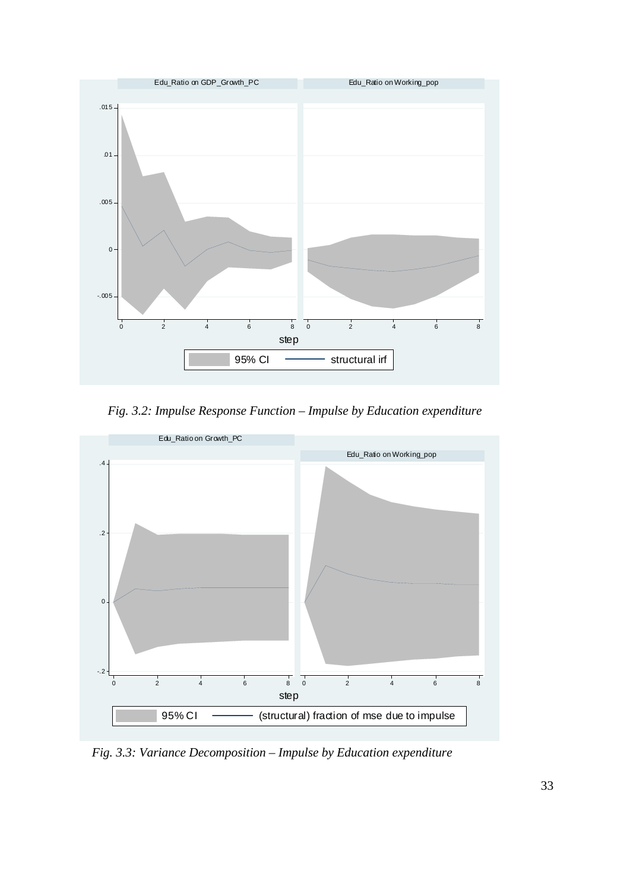

 *Fig. 3.2: Impulse Response Function – Impulse by Education expenditure* 



 *Fig. 3.3: Variance Decomposition – Impulse by Education expenditure*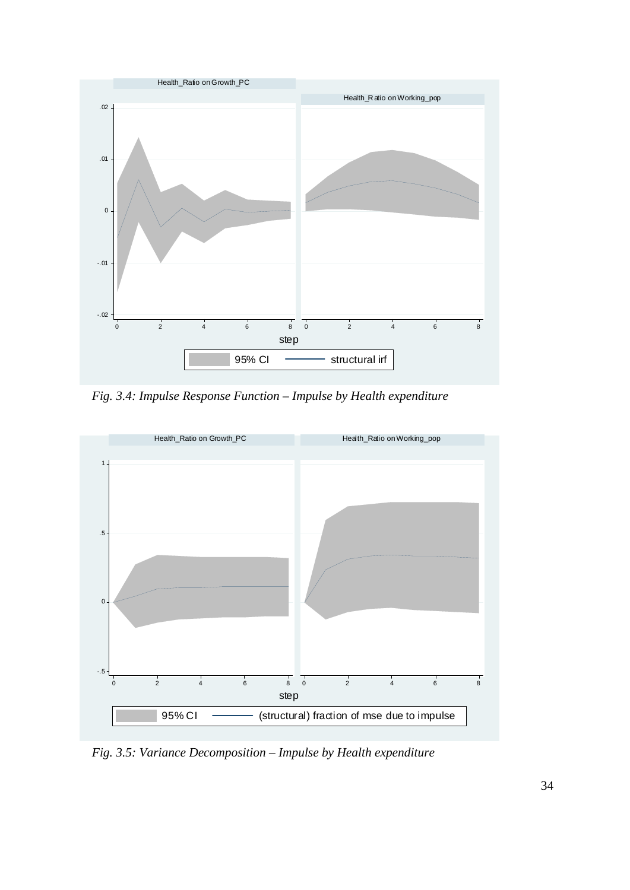

 *Fig. 3.4: Impulse Response Function – Impulse by Health expenditure* 



 *Fig. 3.5: Variance Decomposition – Impulse by Health expenditure*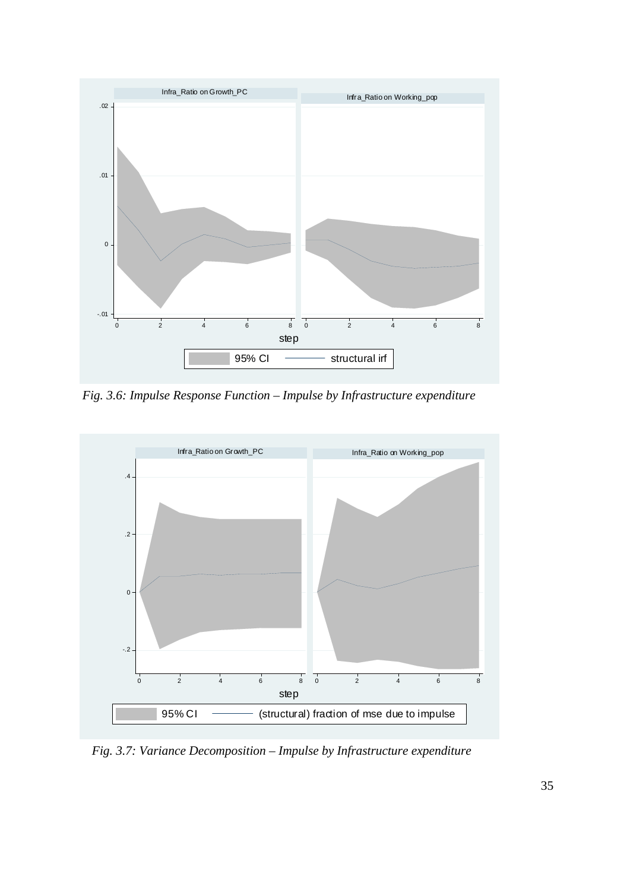

 *Fig. 3.6: Impulse Response Function – Impulse by Infrastructure expenditure* 



 *Fig. 3.7: Variance Decomposition – Impulse by Infrastructure expenditure*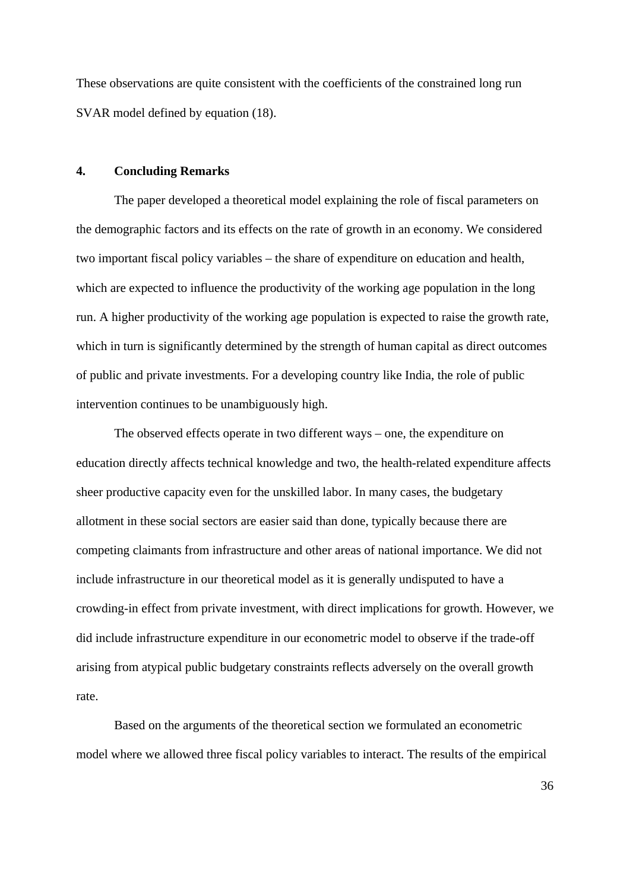These observations are quite consistent with the coefficients of the constrained long run SVAR model defined by equation (18).

#### **4. Concluding Remarks**

The paper developed a theoretical model explaining the role of fiscal parameters on the demographic factors and its effects on the rate of growth in an economy. We considered two important fiscal policy variables – the share of expenditure on education and health, which are expected to influence the productivity of the working age population in the long run. A higher productivity of the working age population is expected to raise the growth rate, which in turn is significantly determined by the strength of human capital as direct outcomes of public and private investments. For a developing country like India, the role of public intervention continues to be unambiguously high.

The observed effects operate in two different ways – one, the expenditure on education directly affects technical knowledge and two, the health-related expenditure affects sheer productive capacity even for the unskilled labor. In many cases, the budgetary allotment in these social sectors are easier said than done, typically because there are competing claimants from infrastructure and other areas of national importance. We did not include infrastructure in our theoretical model as it is generally undisputed to have a crowding-in effect from private investment, with direct implications for growth. However, we did include infrastructure expenditure in our econometric model to observe if the trade-off arising from atypical public budgetary constraints reflects adversely on the overall growth rate.

Based on the arguments of the theoretical section we formulated an econometric model where we allowed three fiscal policy variables to interact. The results of the empirical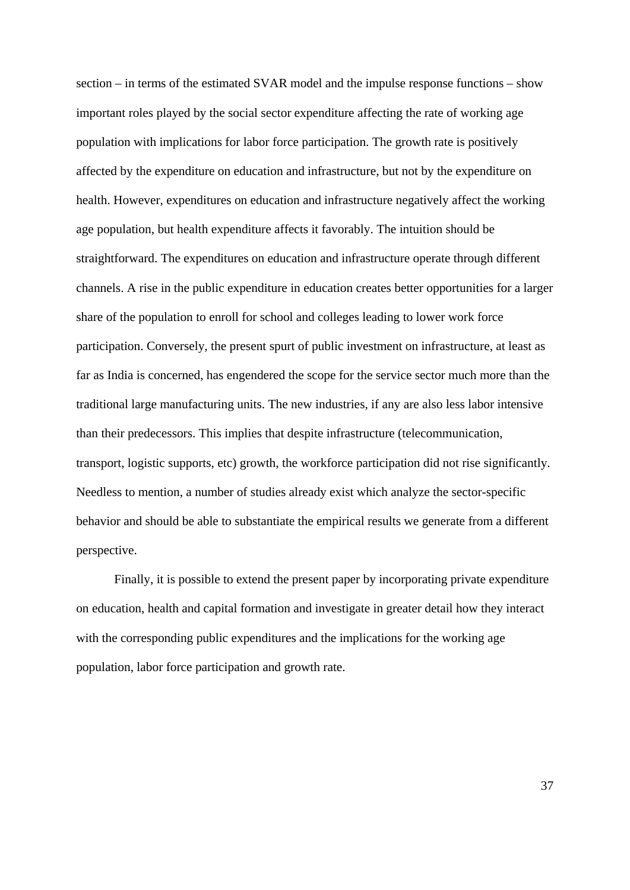section – in terms of the estimated SVAR model and the impulse response functions – show important roles played by the social sector expenditure affecting the rate of working age population with implications for labor force participation. The growth rate is positively affected by the expenditure on education and infrastructure, but not by the expenditure on health. However, expenditures on education and infrastructure negatively affect the working age population, but health expenditure affects it favorably. The intuition should be straightforward. The expenditures on education and infrastructure operate through different channels. A rise in the public expenditure in education creates better opportunities for a larger share of the population to enroll for school and colleges leading to lower work force participation. Conversely, the present spurt of public investment on infrastructure, at least as far as India is concerned, has engendered the scope for the service sector much more than the traditional large manufacturing units. The new industries, if any are also less labor intensive than their predecessors. This implies that despite infrastructure (telecommunication, transport, logistic supports, etc) growth, the workforce participation did not rise significantly. Needless to mention, a number of studies already exist which analyze the sector-specific behavior and should be able to substantiate the empirical results we generate from a different perspective.

Finally, it is possible to extend the present paper by incorporating private expenditure on education, health and capital formation and investigate in greater detail how they interact with the corresponding public expenditures and the implications for the working age population, labor force participation and growth rate.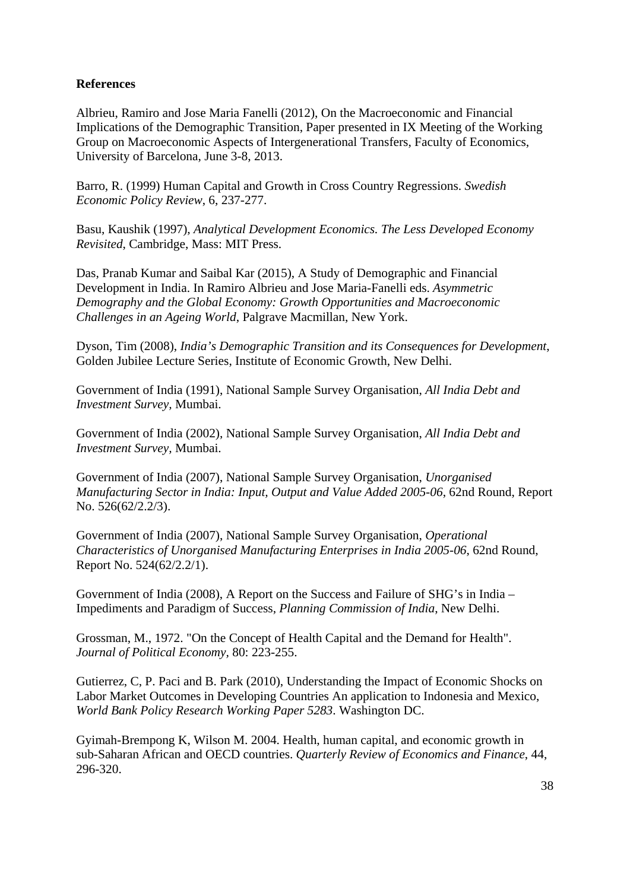#### **References**

Albrieu, Ramiro and Jose Maria Fanelli (2012), On the Macroeconomic and Financial Implications of the Demographic Transition, Paper presented in IX Meeting of the Working Group on Macroeconomic Aspects of Intergenerational Transfers, Faculty of Economics, University of Barcelona, June 3-8, 2013.

Barro, R. (1999) Human Capital and Growth in Cross Country Regressions. *Swedish Economic Policy Review*, 6, 237-277.

Basu, Kaushik (1997), *Analytical Development Economics. The Less Developed Economy Revisited*, Cambridge, Mass: MIT Press.

Das, Pranab Kumar and Saibal Kar (2015), A Study of Demographic and Financial Development in India. In Ramiro Albrieu and Jose Maria-Fanelli eds. *Asymmetric Demography and the Global Economy: Growth Opportunities and Macroeconomic Challenges in an Ageing World*, Palgrave Macmillan, New York.

Dyson, Tim (2008), *India's Demographic Transition and its Consequences for Development*, Golden Jubilee Lecture Series, Institute of Economic Growth, New Delhi.

Government of India (1991), National Sample Survey Organisation, *All India Debt and Investment Survey,* Mumbai.

Government of India (2002), National Sample Survey Organisation, *All India Debt and Investment Survey,* Mumbai.

Government of India (2007), National Sample Survey Organisation, *Unorganised Manufacturing Sector in India: Input, Output and Value Added 2005-06*, 62nd Round, Report No. 526(62/2.2/3).

Government of India (2007), National Sample Survey Organisation, *Operational Characteristics of Unorganised Manufacturing Enterprises in India 2005-06*, 62nd Round, Report No. 524(62/2.2/1).

Government of India (2008), A Report on the Success and Failure of SHG's in India – Impediments and Paradigm of Success, *Planning Commission of India*, New Delhi.

Grossman, M., 1972. "On the Concept of Health Capital and the Demand for Health". *Journal of Political Economy,* 80: 223-255.

Gutierrez, C, P. Paci and B. Park (2010), Understanding the Impact of Economic Shocks on Labor Market Outcomes in Developing Countries An application to Indonesia and Mexico, *World Bank Policy Research Working Paper 5283*. Washington DC.

Gyimah-Brempong K, Wilson M. 2004. Health, human capital, and economic growth in sub-Saharan African and OECD countries. *Quarterly Review of Economics and Finance*, 44, 296-320.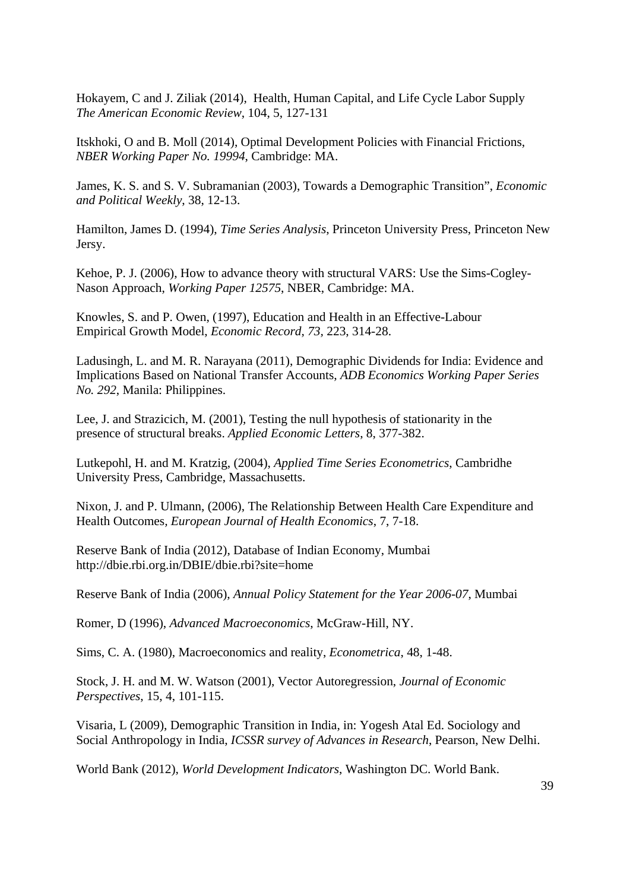Hokayem, C and J. Ziliak (2014), Health, Human Capital, and Life Cycle Labor Supply *The American Economic Review*, 104, 5, 127-131

Itskhoki, O and B. Moll (2014), Optimal Development Policies with Financial Frictions, *NBER Working Paper No. 19994*, Cambridge: MA.

James, K. S. and S. V. Subramanian (2003), Towards a Demographic Transition", *Economic and Political Weekly*, 38, 12-13.

Hamilton, James D. (1994), *Time Series Analysis*, Princeton University Press, Princeton New Jersy.

Kehoe, P. J. (2006), How to advance theory with structural VARS: Use the Sims-Cogley-Nason Approach, *Working Paper 12575*, NBER, Cambridge: MA.

Knowles, S. and P. Owen, (1997), Education and Health in an Effective-Labour Empirical Growth Model, *Economic Record*, *73,* 223, 314-28.

Ladusingh, L. and M. R. Narayana (2011), Demographic Dividends for India: Evidence and Implications Based on National Transfer Accounts, *ADB Economics Working Paper Series No. 292*, Manila: Philippines.

Lee, J. and Strazicich, M. (2001), Testing the null hypothesis of stationarity in the presence of structural breaks. *Applied Economic Letters*, 8, 377-382.

Lutkepohl, H. and M. Kratzig, (2004), *Applied Time Series Econometrics*, Cambridhe University Press, Cambridge, Massachusetts.

Nixon, J. and P. Ulmann, (2006), The Relationship Between Health Care Expenditure and Health Outcomes*, European Journal of Health Economics*, 7, 7-18.

Reserve Bank of India (2012), Database of Indian Economy, Mumbai http://dbie.rbi.org.in/DBIE/dbie.rbi?site=home

Reserve Bank of India (2006), *Annual Policy Statement for the Year 2006-07*, Mumbai

Romer, D (1996), *Advanced Macroeconomics*, McGraw-Hill, NY.

Sims, C. A. (1980), Macroeconomics and reality, *Econometrica*, 48, 1-48.

Stock, J. H. and M. W. Watson (2001), Vector Autoregression, *Journal of Economic Perspectives*, 15, 4, 101-115.

Visaria, L (2009), Demographic Transition in India, in: Yogesh Atal Ed. Sociology and Social Anthropology in India, *ICSSR survey of Advances in Research*, Pearson, New Delhi.

World Bank (2012), *World Development Indicators*, Washington DC. World Bank.